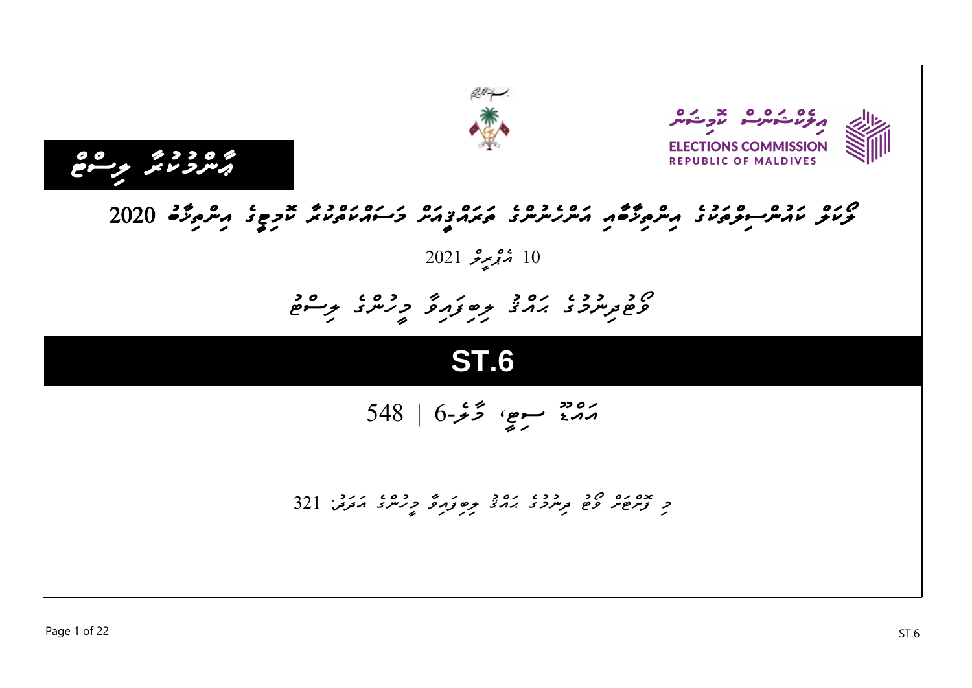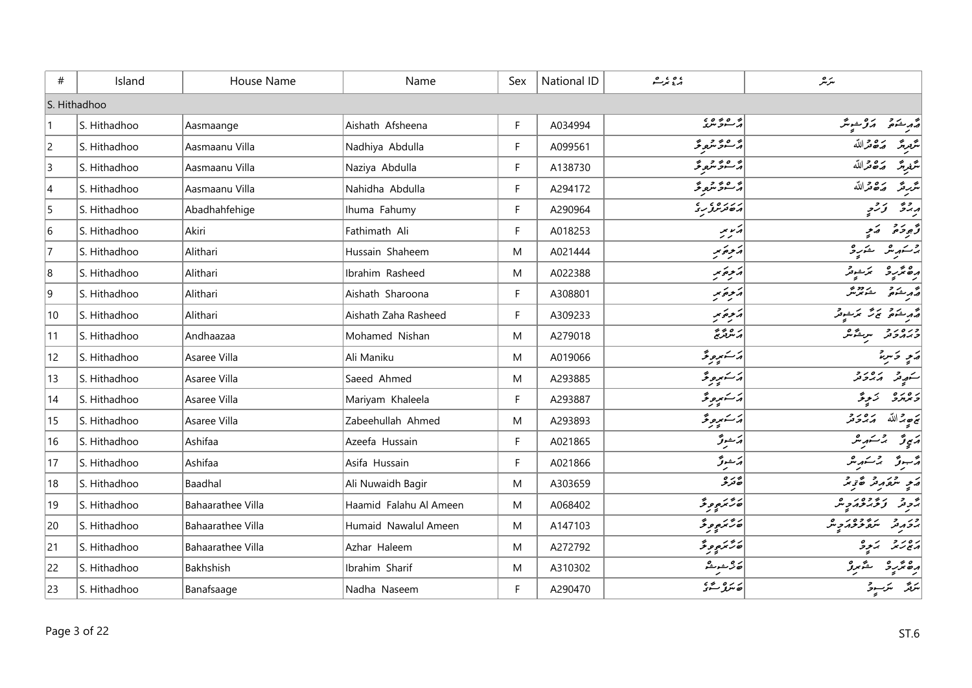| #                | Island       | House Name               | Name                   | Sex | National ID | ، ه ، بر <u>م</u>               | بىر ھ                                    |
|------------------|--------------|--------------------------|------------------------|-----|-------------|---------------------------------|------------------------------------------|
|                  | S. Hithadhoo |                          |                        |     |             |                                 |                                          |
|                  | S. Hithadhoo | Aasmaange                | Aishath Afsheena       | F   | A034994     | پ <sup>ر ۱</sup> ۹۵۵ وي         | و<br>مرشوم مۇش <sub>و</sub> ش            |
| $\overline{c}$   | S. Hithadhoo | Aasmaanu Villa           | Nadhiya Abdulla        | F   | A099561     | ۇ مەۋتىرو ۋ                     | يُرْمِرْ رَبِّ صَالَّهِ                  |
| $\overline{3}$   | S. Hithadhoo | Aasmaanu Villa           | Naziya Abdulla         | F.  | A138730     | ۇ مەمۇرىمۇ ئى                   | <del>سَّ</del> غِرِيمَ 25هزالله          |
| 4                | S. Hithadhoo | Aasmaanu Villa           | Nahidha Abdulla        | F   | A294172     | ۇ شۇ تىرىمۇ                     | م <i>تَّرَبِینَّهُ مَنْ</i> ®قَرَاللَّهُ |
| 5                | S. Hithadhoo | Abadhahfehige            | Ihuma Fahumy           | F   | A290964     | ر ر ر ه و ر و<br>پرې تر تر تو ب | ورژی ژرې                                 |
| $\sqrt{6}$       | S. Hithadhoo | Akiri                    | Fathimath Ali          | F.  | A018253     | وتبوعيه                         | وٌودَهُ دَرِ                             |
| $\overline{7}$   | S. Hithadhoo | Alithari                 | Hussain Shaheem        | M   | A021444     | وكمترهومر                       | چرىكى ھەردى<br>مەسىر                     |
| 8                | S. Hithadhoo | Alithari                 | Ibrahim Rasheed        | M   | A022388     | لأعرضو                          |                                          |
| $\boldsymbol{9}$ | S. Hithadhoo | Alithari                 | Aishath Sharoona       | F   | A308801     | وكمترهوسر                       | $\frac{1}{\stackrel{.}{\sim}}$           |
| 10               | S. Hithadhoo | Alithari                 | Aishath Zaha Rasheed   | F   | A309233     | لأحرجوسر                        | ە<br>مەرشۇم ئۆگ ئىرشونى                  |
| 11               | S. Hithadhoo | Andhaazaa                | Mohamed Nishan         | M   | A279018     | ر ه ۶۶<br>مرمربر <i>ج</i>       | ورەرو سىشىر                              |
| 12               | S. Hithadhoo | Asaree Villa             | Ali Maniku             | M   | A019066     | ە سەمبەء ق                      | ړې د سره                                 |
| 13               | S. Hithadhoo | Asaree Villa             | Saeed Ahmed            | M   | A293885     | ە سەمبەء ق                      | سکھیے میں مرد و<br>  سکھیے میں مرکز میں  |
| 14               | S. Hithadhoo | Asaree Villa             | Mariyam Khaleela       | F   | A293887     | ە سە يەھ ۋ                      | دەرە ئېۋ                                 |
| 15               | S. Hithadhoo | Asaree Villa             | Zabeehullah Ahmed      | M   | A293893     | ە سەمدە ئە                      | يَجْ حِيمَ اللَّهُ بِمَدْ جَمَعَهِ       |
| 16               | S. Hithadhoo | Ashifaa                  | Azeefa Hussain         | F.  | A021865     | ىر شىر تر<br>مە                 | ړې ته پر شمېر شر                         |
| 17               | S. Hithadhoo | Ashifaa                  | Asifa Hussain          | F   | A021866     | ىر شىر تر<br>مە                 | ە ئىبوق بر ئىسكىرىش                      |
| 18               | S. Hithadhoo | Baadhal                  | Ali Nuwaidh Bagir      | M   | A303659     | ر ره<br>ن <i>ه</i> ترنژ         | ړې شورمره ځېر                            |
| 19               | S. Hithadhoo | <b>Bahaarathee Villa</b> | Haamid Falahu Al Ameen | M   | A068402     | ر ئەبرە <sub>ۋىر</sub> ۇ        | يُرورُ وَوَيَزْوَيْرَةٍ بِرْ             |
| 20               | S. Hithadhoo | <b>Bahaarathee Villa</b> | Humaid Nawalul Ameen   | M   | A147103     | ئەئە ئىرىمو بۇ                  | جريري بروووري                            |
| 21               | S. Hithadhoo | <b>Bahaarathee Villa</b> | Azhar Haleem           | M   | A272792     | <br> خۇنئەم <sub>ۇ</sub> مۇ     | أرەر ئەرە                                |
| 22               | S. Hithadhoo | Bakhshish                | Ibrahim Sharif         | M   | A310302     | كالخرشوشة                       | رەنزىر شىر                               |
| 23               | S. Hithadhoo | Banafsaage               | Nadha Naseem           | F.  | A290470     | ە ئىرە ئەي                      | يَرْبُسُ = يَرْسِودُ                     |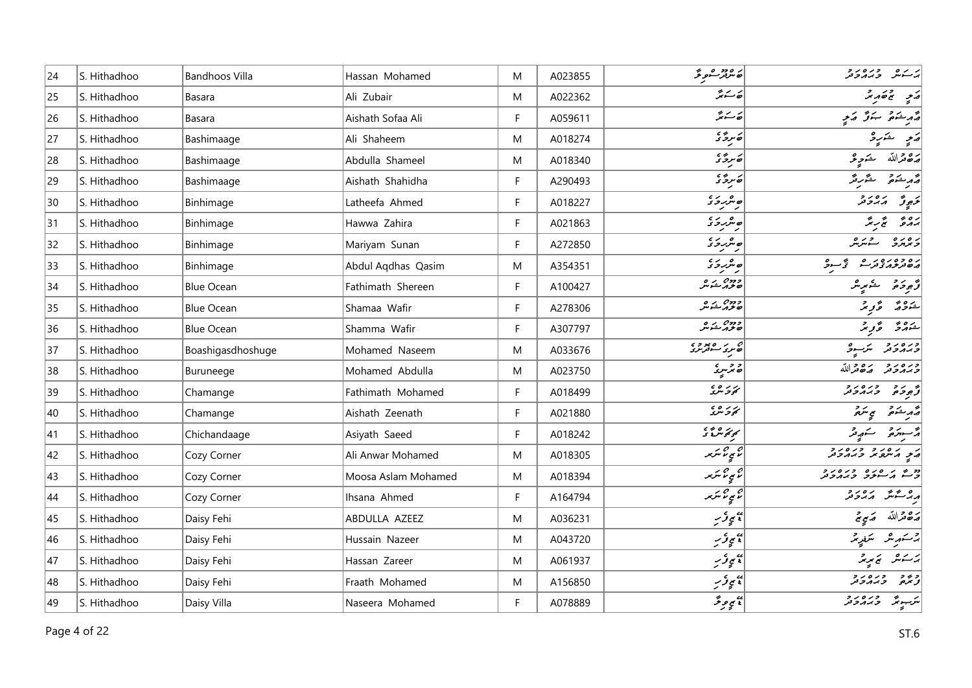| 24 | S. Hithadhoo | <b>Bandhoos Villa</b> | Hassan Mohamed      | M           | A023855 | ر ۵ دو ۵<br>ته مربور شور وگ    | يركبش ويره برو                                         |
|----|--------------|-----------------------|---------------------|-------------|---------|--------------------------------|--------------------------------------------------------|
| 25 | S. Hithadhoo | Basara                | Ali Zubair          | M           | A022362 | ە سەئىر                        | $\begin{bmatrix} 2 & 2 & 3 \\ 2 & 2 & 6 \end{bmatrix}$ |
| 26 | S. Hithadhoo | Basara                | Aishath Sofaa Ali   | F           | A059611 | ەسەئىر                         | وأرشكني الكوا وكمع                                     |
| 27 | S. Hithadhoo | Bashimaage            | Ali Shaheem         | M           | A018274 | ر<br>ت <i>ه م</i> رد د         | ر<br>ماي ما مار ديگر                                   |
| 28 | S. Hithadhoo | Bashimaage            | Abdulla Shameel     | M           | A018340 | ر<br>نه مرد د                  | مَصْغَراللَّه<br>ڪو <sub>ڇ</sub> و                     |
| 29 | S. Hithadhoo | Bashimaage            | Aishath Shahidha    | F           | A290493 | ر<br>ت <i>ه م</i> رد د         | وكرمشكم الشرقر                                         |
| 30 | S. Hithadhoo | Binhimage             | Latheefa Ahmed      | F           | A018227 | ه مرگر دی<br>م                 | تزور متدونر                                            |
| 31 | S. Hithadhoo | Binhimage             | Hawwa Zahira        | F           | A021863 | ه شرر در<br>م                  | برە ئەربۇ                                              |
| 32 | S. Hithadhoo | Binhimage             | Mariyam Sunan       | F           | A272850 | ه شریره د                      | ر ه ر ه<br><del>د</del> بربرگر<br>سەتىرىگر             |
| 33 | S. Hithadhoo | Binhimage             | Abdul Aqdhas Qasim  | M           | A354351 | ه شرر در<br>پر                 | رە دەرەر ەستىر ۋ                                       |
| 34 | S. Hithadhoo | <b>Blue Ocean</b>     | Fathimath Shereen   | F           | A100427 | و دوم در ه<br>حامرو شومگر      | ۇپ <sub>و</sub> رى ئىيرىر                              |
| 35 | S. Hithadhoo | <b>Blue Ocean</b>     | Shamaa Wafir        | F           | A278306 | و دوم<br>حامز پر شہ س          | شەۋەم قەرىمە                                           |
| 36 | S. Hithadhoo | <b>Blue Ocean</b>     | Shamma Wafir        | $\mathsf F$ | A307797 | و دوم<br>ت <i>ھ مح</i> مد شہ س | ستەدى<br>ۇ يەتر                                        |
| 37 | S. Hithadhoo | Boashigasdhoshuge     | Mohamed Naseem      | M           | A033676 | ج پر و پر و ۽<br>ھنري سنگرمري  | ورەرو برب                                              |
| 38 | S. Hithadhoo | Buruneege             | Mohamed Abdulla     | M           | A023750 | ه بر سره<br>ح <i>ا</i> مرسری   | وره رو ده دالله                                        |
| 39 | S. Hithadhoo | Chamange              | Fathimath Mohamed   | F           | A018499 | ىر رە ،<br>كىمى سرى            | توجده وبرورد                                           |
| 40 | S. Hithadhoo | Chamange              | Aishath Zeenath     | F           | A021880 | ى ئەھ                          | ومرشكم وسنم                                            |
| 41 | S. Hithadhoo | Chichandaage          | Asiyath Saeed       | F           | A018242 | ىمە ئەرەپ ي                    | و سورتر سورتر                                          |
| 42 | S. Hithadhoo | Cozy Corner           | Ali Anwar Mohamed   | M           | A018305 | لأمج تنكته                     | ر د ه د د د دره د د<br>په د سروند د برمرد              |
| 43 | S. Hithadhoo | Cozy Corner           | Moosa Aslam Mohamed | M           | A018394 | ە پە ئەتىر                     | دو می بر ۲۵ در ۲۵ در و                                 |
| 44 | S. Hithadhoo | Cozy Corner           | Ihsana Ahmed        | $\mathsf F$ | A164794 | ە يېرىكى ئىكتە<br>ئىستى ئىكتە  | ورمح شمش وكالمرد                                       |
| 45 | S. Hithadhoo | Daisy Fehi            | ABDULLA AZEEZ       | M           | A036231 | ېمې ئ <sup>ې</sup> ر           | بره و الله برسم و                                      |
| 46 | S. Hithadhoo | Daisy Fehi            | Hussain Nazeer      | M           | A043720 | ې<br>ئاسمى تر سر               | رُسكريل الكفريل                                        |
| 47 | S. Hithadhoo | Daisy Fehi            | Hassan Zareer       | M           | A061937 | يې<br>ناسې تر سر               | ىرىكىش ئۈمرىگە                                         |
| 48 | S. Hithadhoo | Daisy Fehi            | Fraath Mohamed      | M           | A156850 | ې<br>ئاسمى ترىر                | و پور ور ور و<br>تو <i>مربر حر ج</i> ر جر              |
| 49 | S. Hithadhoo | Daisy Villa           | Naseera Mohamed     | F           | A078889 | ې<br>نامورځه                   | ش ورەر د                                               |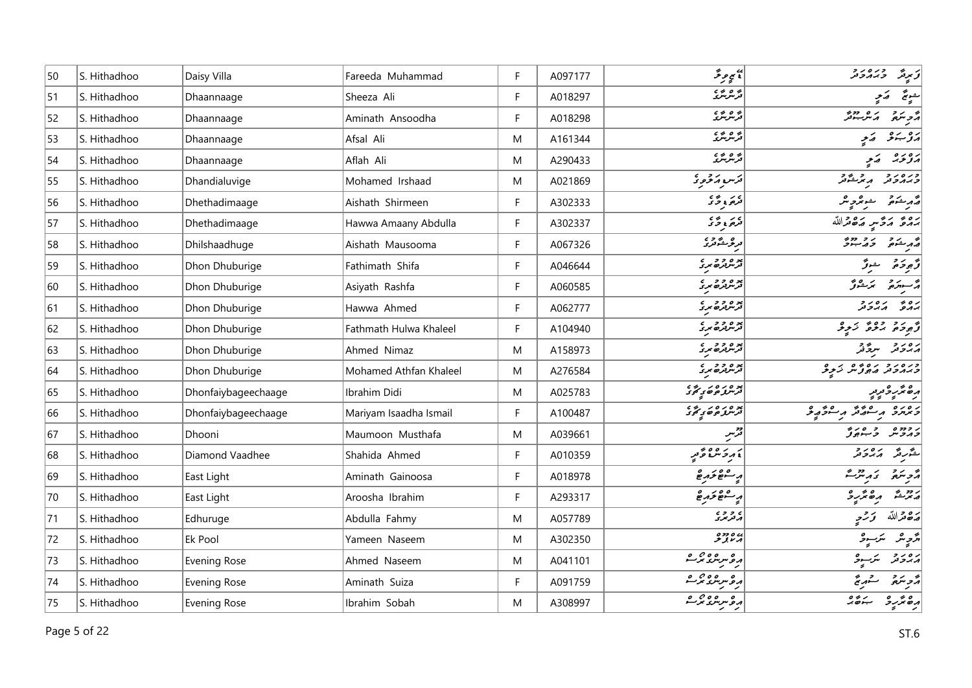| 50 | S. Hithadhoo | Daisy Villa         | Fareeda Muhammad       | F  | A097177 | ۽ سمج حرقحہ                                     | و رو ر د<br><i>د ټ</i> رگر<br>  تۇ ئېرىتىر                                                                                                                                                                                       |
|----|--------------|---------------------|------------------------|----|---------|-------------------------------------------------|----------------------------------------------------------------------------------------------------------------------------------------------------------------------------------------------------------------------------------|
| 51 | S. Hithadhoo | Dhaannaage          | Sheeza Ali             | F. | A018297 | یو ه پوء<br>ترس                                 | الشويج أوكمني                                                                                                                                                                                                                    |
| 52 | S. Hithadhoo | Dhaannaage          | Aminath Ansoodha       | F. | A018298 | پر ۾ پر ۽<br>تر بتر پٿر <sub>تک</sub>           | $\overline{\mathbf{r}^2$<br>ر ه دوم<br>مرکس پیوتر                                                                                                                                                                                |
| 53 | S. Hithadhoo | Dhaannaage          | Afsal Ali              | M  | A161344 | یږ ۵ پر <sup>ج</sup>                            | رە بەق كەير                                                                                                                                                                                                                      |
| 54 | S. Hithadhoo | Dhaannaage          | Aflah Ali              | M  | A290433 | یژه پژو <sup>ر</sup>                            | برە ئەيدى ئەيدى                                                                                                                                                                                                                  |
| 55 | S. Hithadhoo | Dhandialuvige       | Mohamed Irshaad        | M  | A021869 | مَدْسو مَهْ قَرْهِ وَ                           | ورەرو پەرشۇر                                                                                                                                                                                                                     |
| 56 | S. Hithadhoo | Dhethadimaage       | Aishath Shirmeen       | F  | A302333 | ۍ د په په<br>مرحو وگړ                           | و<br>مريض مورد م                                                                                                                                                                                                                 |
| 57 | S. Hithadhoo | Dhethadimaage       | Hawwa Amaany Abdulla   | F  | A302337 | ه د د د د کا                                    | بره و بروسر مردورالله                                                                                                                                                                                                            |
| 58 | S. Hithadhoo | Dhilshaadhuge       | Aishath Mausooma       | F. | A067326 | و و <sup>و و ي</sup>                            | و در دوره<br>مرد شوه کار دو                                                                                                                                                                                                      |
| 59 | S. Hithadhoo | Dhon Dhuburige      | Fathimath Shifa        | F  | A046644 | پر ه و و<br>  تر سرتره مرد                      | قەم ئەقتى ئىسىمىتى ئە                                                                                                                                                                                                            |
| 60 | S. Hithadhoo | Dhon Dhuburige      | Asiyath Rashfa         | F. | A060585 | پر ہ د د د ۔<br>ترسرترے برو                     | د سوره تر شوره<br>م                                                                                                                                                                                                              |
| 61 | S. Hithadhoo | Dhon Dhuburige      | Hawwa Ahmed            | F  | A062777 | پر ه و و د پ<br>  تر سربر ه مړي                 | ره د ده د و                                                                                                                                                                                                                      |
| 62 | S. Hithadhoo | Dhon Dhuburige      | Fathmath Hulwa Khaleel | F  | A104940 | پر ہ و و د<br>ترسرترے بری                       | ة دو وه ديده<br>ازوده روه زود                                                                                                                                                                                                    |
| 63 | S. Hithadhoo | Dhon Dhuburige      | Ahmed Nimaz            | M  | A158973 | پر ه و و د<br>  ترسربره مرد                     | رەرو سەد                                                                                                                                                                                                                         |
| 64 | S. Hithadhoo | Dhon Dhuburige      | Mohamed Athfan Khaleel | M  | A276584 | پر ہ و و و ع<br>ترسرترے برد                     | ورەر دەرە بەر ئېرو                                                                                                                                                                                                               |
| 65 | S. Hithadhoo | Dhonfaiybageechaage | Ibrahim Didi           | M  | A025783 | بر ه ر ه د په په<br>ترسرز و <i>ه د و</i>        | ىر ھەترىر 9 <sub>مو</sub> مر<br>ر                                                                                                                                                                                                |
| 66 | S. Hithadhoo | Dhonfaiybageechaage | Mariyam Isaadha Ismail | F  | A100487 | بر ه ر ه ر په په<br><mark>ترس تر ه ه</mark> کړي | נים הם היה בלי היה היה היה ברי היה ברי היה ברי היה ברי היה ברי היה ברי היה ברי היה ברי היה ברי היה ברי היה ברי<br>היה היה ברי היה ברי היה היה ברי היה ברי היה ברי היה ברי היה ברי היה ברי היה ברי היה ברי היה ברי היה ברי היה בר |
| 67 | S. Hithadhoo | <b>Dhooni</b>       | Maumoon Musthafa       | M  | A039661 | وو<br>تىرىىر                                    | ر و ده ده و دره<br>د در د سربوز                                                                                                                                                                                                  |
| 68 | S. Hithadhoo | Diamond Vaadhee     | Shahida Ahmed          | F  | A010359 | ،<br>، دېر شره ځور                              | شەرەر بەرەر د                                                                                                                                                                                                                    |
| 69 | S. Hithadhoo | East Light          | Aminath Gainoosa       | F  | A018978 |                                                 | أأوسكم وأرش                                                                                                                                                                                                                      |
| 70 | S. Hithadhoo | East Light          | Aroosha Ibrahim        | F  | A293317 | لرمصوره                                         | دە ئەربى<br>بر دو به پی                                                                                                                                                                                                          |
| 71 | S. Hithadhoo | Edhuruge            | Abdulla Fahmy          | M  | A057789 | ے و و ے<br>پر تر پر ی                           | ەھىراللە<br>ورحمي                                                                                                                                                                                                                |
| 72 | S. Hithadhoo | Ek Pool             | Yameen Naseem          | M  | A302350 | ر، ە دو<br>مربو تو م                            | گەچ مىگە ئىكەن ئەسپو                                                                                                                                                                                                             |
| 73 | S. Hithadhoo | <b>Evening Rose</b> | Ahmed Naseem           | M  | A041101 | رە بىر بىرى مى كەن<br>كەنبەر بىرى كەنب          | كەبرو ترىپو                                                                                                                                                                                                                      |
| 74 | S. Hithadhoo | <b>Evening Rose</b> | Aminath Suiza          | F  | A091759 | وومرموموث                                       | ومحر يتمر والمحمد وتح                                                                                                                                                                                                            |
| 75 | S. Hithadhoo | <b>Evening Rose</b> | Ibrahim Sobah          | M  | A308997 | ار و سرمروم مرگ<br>م                            | ە ھەترىرى<br>بەھەترىرى<br>بەھ                                                                                                                                                                                                    |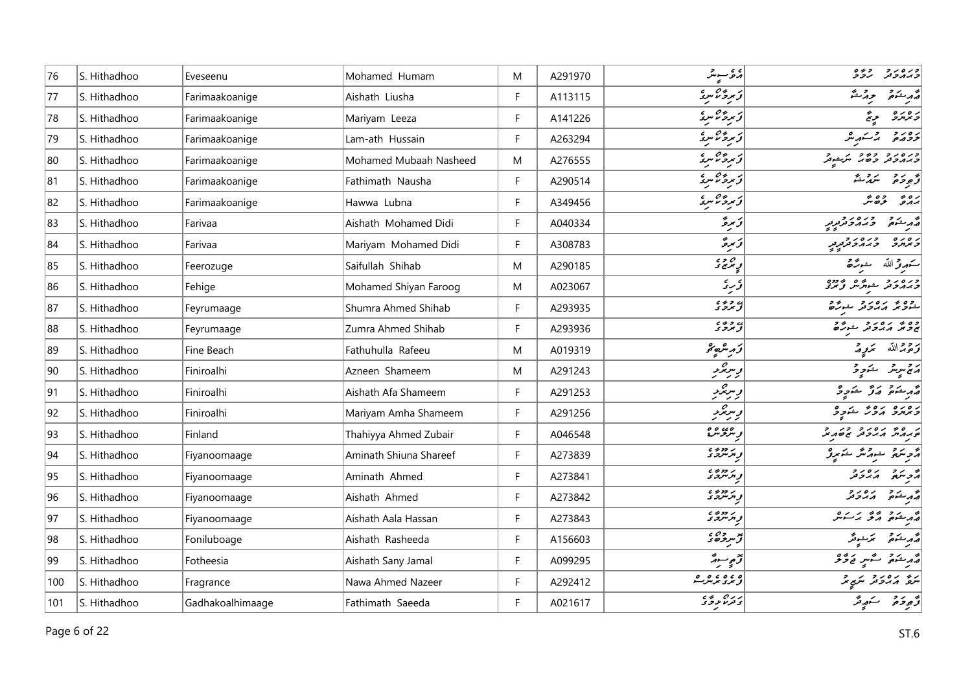| 76  | S. Hithadhoo | Eveseenu         | Mohamed Humam          | M           | A291970 | ئەغەسە يىتىر                      |                                        |
|-----|--------------|------------------|------------------------|-------------|---------|-----------------------------------|----------------------------------------|
| 77  | S. Hithadhoo | Farimaakoanige   | Aishath Liusha         | F           | A113115 | ىز بىردىم بىرى<br>قەبىردىم بىرى   | أقهر شدة وقرشة                         |
| 78  | S. Hithadhoo | Farimaakoanige   | Mariyam Leeza          | F           | A141226 | وسروتناسره                        | د عروره موبع                           |
| 79  | S. Hithadhoo | Farimaakoanige   | Lam-ath Hussain        | F           | A263294 | از برد <sup>ه</sup> برد           | رەرد جەكىرىگە                          |
| 80  | S. Hithadhoo | Farimaakoanige   | Mohamed Mubaah Nasheed | M           | A276555 | وَمِرةَ مْ مِرْ                   | ورەر د دەر ئېشوتر                      |
| 81  | S. Hithadhoo | Farimaakoanige   | Fathimath Nausha       | F           | A290514 | وَمِرةَ مْ مِرْ                   | أزّودَه سَمْتُ                         |
| 82  | S. Hithadhoo | Farimaakoanige   | Hawwa Lubna            | F           | A349456 | وَمَرِدَّرْ مَبْرَ                | ره وه ش                                |
| 83  | S. Hithadhoo | Farivaa          | Aishath Mohamed Didi   | F           | A040334 | ر<br>و <sub>مرم</sub> وً          |                                        |
| 84  | S. Hithadhoo | Farivaa          | Mariyam Mohamed Didi   | F           | A308783 | وً مورٌ                           | גפגם 1923-1937<br>קמחת המחבתתת         |
| 85  | S. Hithadhoo | Feerozuge        | Saifullah Shihab       | M           | A290185 | وپژيځ                             | ستمریح الله سعوته                      |
| 86  | S. Hithadhoo | Fehige           | Mohamed Shiyan Faroog  | M           | A023067 | ئۇر <sub>ى</sub><br>              | وره رو شهره و وده<br>وبردوند شهرش ژیرد |
| 87  | S. Hithadhoo | Feyrumaage       | Shumra Ahmed Shihab    | F           | A293935 | ہ د د د د<br><mark>ز برو د</mark> | وه و ده د و د و د و د                  |
| 88  | S. Hithadhoo | Feyrumaage       | Zumra Ahmed Shihab     | $\mathsf F$ | A293936 | ہ یو یو ی<br> تو بوری ی           | اده د بره برد و در د                   |
| 89  | S. Hithadhoo | Fine Beach       | Fathuhulla Rafeeu      | M           | A019319 | نز مر شر <i>ه گ</i> ر             | ترحرجة الله تتزوير                     |
| 90  | S. Hithadhoo | Finiroalhi       | Azneen Shameem         | M           | A291243 | وسرچمو                            | پر چم سر پر سنگوری کے دیے ک            |
| 91  | S. Hithadhoo | Finiroalhi       | Aishath Afa Shameem    | F           | A291253 | وسرچمو                            | أمار شوم أمائي الشوح                   |
| 92  | S. Hithadhoo | Finiroalhi       | Mariyam Amha Shameem   | $\mathsf F$ | A291256 | وسرچر                             | و مرده روژ ځوړه                        |
| 93  | S. Hithadhoo | Finland          | Thahiyya Ahmed Zubair  | $\mathsf F$ | A046548 | وبترعه وه                         | פגרת הגבת הסגב                         |
| 94  | S. Hithadhoo | Fiyanoomaage     | Aminath Shiuna Shareef | F           | A273839 | ر دوه ،<br>د تر شرچ د             | أأترجم والمرتكز المتورق                |
| 95  | S. Hithadhoo | Fiyanoomaage     | Aminath Ahmed          | $\mathsf F$ | A273841 | ر دور د<br>و مرسرچ د              | أثر شرد بره رد                         |
| 96  | S. Hithadhoo | Fiyanoomaage     | Aishath Ahmed          | $\mathsf F$ | A273842 | ر دوه ،<br>و پرسرچ <sub>ک</sub>   | وكرمشتم وكرور                          |
| 97  | S. Hithadhoo | Fiyanoomaage     | Aishath Aala Hassan    | F           | A273843 | ر دوه ،<br>و پرسرچ <sub>ک</sub>   | ە ئەستىم ئەق ئەسەس                     |
| 98  | S. Hithadhoo | Foniluboage      | Aishath Rasheeda       | F           | A156603 | بد روم ،<br>توسرپر <i>ه</i> د     | أقهر مشكاة المتمر الموافد              |
| 99  | S. Hithadhoo | Fotheesia        | Aishath Sany Jamal     | F           | A099295 | تو <sub>ھو</sub> سىزەگر           | و المستحق المستحق المستحدة             |
| 100 | S. Hithadhoo | Fragrance        | Nawa Ahmed Nazeer      | F.          | A292412 | ه ، ه ، ه <u>و ه</u>              | برو برورد بره بر                       |
| 101 | S. Hithadhoo | Gadhakoalhimaage | Fathimath Saeeda       | $\mathsf F$ | A021617 | ئەنزەر ئەي                        | أُدْجِرَةً سَنَ يَدْ                   |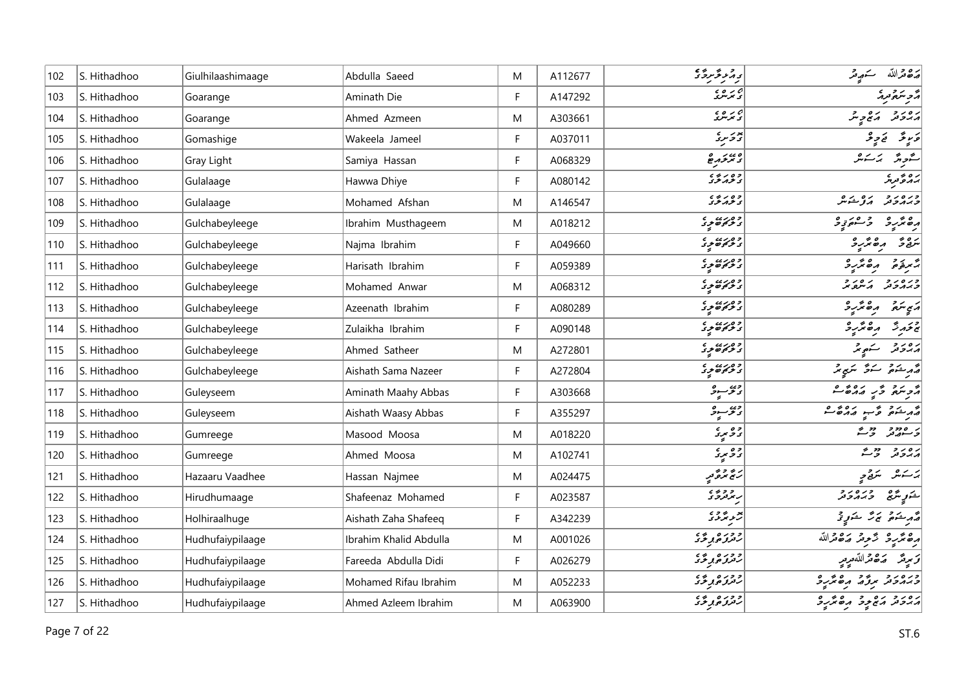| 102 | S. Hithadhoo | Giulhilaashimaage | Abdulla Saeed          | M           | A112677 | ى <sub>د</sub> ە ئىرقىرىدى<br>ئ                        | أرة مرالله كورمر                                                                                                                                                                                                                 |
|-----|--------------|-------------------|------------------------|-------------|---------|--------------------------------------------------------|----------------------------------------------------------------------------------------------------------------------------------------------------------------------------------------------------------------------------------|
| 103 | S. Hithadhoo | Goarange          | Aminath Die            | F           | A147292 | ہ پر ہ<br>ئ                                            | ا پ <sup>و</sup> په سرچو مرب <sup>ع</sup>                                                                                                                                                                                        |
| 104 | S. Hithadhoo | Goarange          | Ahmed Azmeen           | M           | A303661 | ہ پر ہ<br>ئ                                            |                                                                                                                                                                                                                                  |
| 105 | S. Hithadhoo | Gomashige         | Wakeela Jameel         | F           | A037011 | پور م<br>  ئ تر مر ي                                   | ۇرۇ ئەچ                                                                                                                                                                                                                          |
| 106 | S. Hithadhoo | Gray Light        | Samiya Hassan          | F           | A068329 | ه پر پر ه<br>  د تر ترم ه                              | لتورث ركائش                                                                                                                                                                                                                      |
| 107 | S. Hithadhoo | Gulalaage         | Hawwa Dhiye            | F           | A080142 | و ه ر پر پر<br><sub>م</sub> حر <i>پر</i> پر            | پروڅوربر                                                                                                                                                                                                                         |
| 108 | S. Hithadhoo | Gulalaage         | Mohamed Afshan         | M           | A146547 | و ه بر پر پر<br>پر محرکو پر                            | ورەرو رەئىيە                                                                                                                                                                                                                     |
| 109 | S. Hithadhoo | Gulchabeyleege    | Ibrahim Musthageem     | M           | A018212 | وه ري د<br>د نوکوه نو د                                |                                                                                                                                                                                                                                  |
| 110 | S. Hithadhoo | Gulchabeyleege    | Najma Ibrahim          | F           | A049660 | د ه پرې <sub>د</sub> ،                                 | پره پچ<br>برە ئۆرۈ                                                                                                                                                                                                               |
| 111 | S. Hithadhoo | Gulchabeyleege    | Harisath Ibrahim       | F           | A059389 | د ه بر بر<br>  د نژنمون م <sub>و</sub> ر               | ە ھەترىر 2<br>برھىترىر 2<br>ر<br>بر مرځ و                                                                                                                                                                                        |
| 112 | S. Hithadhoo | Gulchabeyleege    | Mohamed Anwar          | M           | A068312 | و <i>وړي پ</i><br>د <del>ژ</del> نمونو پ               | بر 2 مر 2<br>مرسومر<br>و ر ه ر د<br>تر پر ژ تر                                                                                                                                                                                   |
| 113 | S. Hithadhoo | Gulchabeyleege    | Azeenath Ibrahim       | F           | A080289 | د ه رب <sub>ه</sub> د پ<br>  د نژنمون م <sub>و</sub> ر | ە ھەترىر 3<br>ر سمبر مرد<br>مرسمبر                                                                                                                                                                                               |
| 114 | S. Hithadhoo | Gulchabeyleege    | Zulaikha Ibrahim       | F           | A090148 | و <i>وړي پ</i><br>د <del>ژ</del> نمونو پ               | ە ھېڭرىرى<br>بر ھېڭرىرى<br>چ ئخر <i>م</i> ر ش                                                                                                                                                                                    |
| 115 | S. Hithadhoo | Gulchabeyleege    | Ahmed Satheer          | M           | A272801 | و <i>وړي پ</i><br>د <del>ژ</del> نمونو پ               | رەر ئەمەر                                                                                                                                                                                                                        |
| 116 | S. Hithadhoo | Gulchabeyleege    | Aishath Sama Nazeer    | $\mathsf F$ | A272804 | د ور» د ،<br>د ژگ <sub>و</sub> ن پر ،                  | قەرشىق سىق ئىرىپەتم                                                                                                                                                                                                              |
| 117 | S. Hithadhoo | Guleyseem         | Aminath Maahy Abbas    | F           | A303668 | د پوسه و<br>  د غرسوژ                                  | הכית בין הרשים                                                                                                                                                                                                                   |
| 118 | S. Hithadhoo | Guleyseem         | Aishath Waasy Abbas    | F           | A355297 | دي.<br>د توسيوژ                                        | أثار شمي أو المركب المستوجب المستوجب المستوجب                                                                                                                                                                                    |
| 119 | S. Hithadhoo | Gumreege          | Masood Moosa           | M           | A018220 | و ه مړي<br>  د ح مړي                                   | د معدد در م                                                                                                                                                                                                                      |
| 120 | S. Hithadhoo | Gumreege          | Ahmed Moosa            | M           | A102741 | و ه<br>د و مړی                                         | ړه ده ده ش                                                                                                                                                                                                                       |
| 121 | S. Hithadhoo | Hazaaru Vaadhee   | Hassan Najmee          | M           | A024475 | ئەنج ترەڭ مېر                                          | رسم سرد ديد بر مرد بر مردم بر بر استفاد بر بر استفاد بر بر استفاد بر بر استفاد بر استفاد بر بر استفاد بر استفا<br>مردم بر استفاد بر استفاد بر استفاد بر استفاد بر استفاد بر استفاد بر استفاد بر استفاد بر استفاد بر استفاد بر اس |
| 122 | S. Hithadhoo | Hirudhumaage      | Shafeenaz Mohamed      | F           | A023587 | ر و و د و<br>ر برترو د                                 | أشور شرح وبره داد                                                                                                                                                                                                                |
| 123 | S. Hithadhoo | Holhiraalhuge     | Aishath Zaha Shafeeq   | F           | A342239 | بو په ده د<br>کشو پژور                                 | و مشرح بن شرور                                                                                                                                                                                                                   |
| 124 | S. Hithadhoo | Hudhufaiypilaage  | Ibrahim Khalid Abdulla | M           | A001026 | د وړه و څه                                             | رەممە ئەرەر مەمداللە                                                                                                                                                                                                             |
| 125 | S. Hithadhoo | Hudhufaiypilaage  | Fareeda Abdulla Didi   | F           | A026279 | ر وره و څه <sup>د</sup>                                | ترسيقر برة قراللّه ويعرِ                                                                                                                                                                                                         |
| 126 | S. Hithadhoo | Hudhufaiypilaage  | Mohamed Rifau Ibrahim  | M           | A052233 | ژوره و څه                                              | כנסנב תצב תסתנב                                                                                                                                                                                                                  |
| 127 | S. Hithadhoo | Hudhufaiypilaage  | Ahmed Azleem Ibrahim   | M           | A063900 | د وړه و پخه د                                          | גפנק גם כל תסתיכ                                                                                                                                                                                                                 |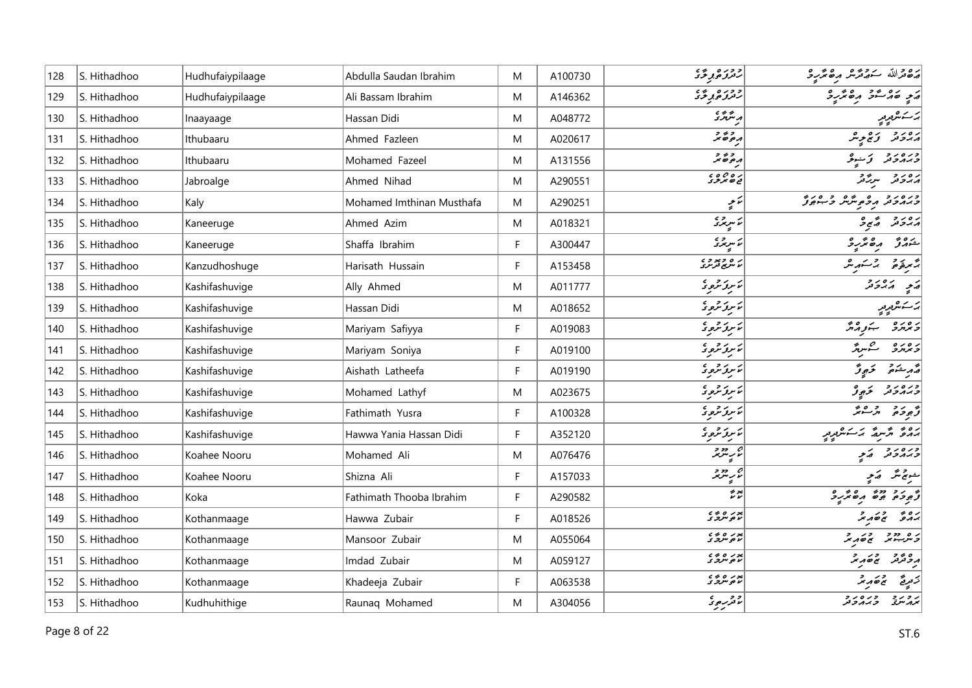| 128 | S. Hithadhoo | Hudhufaiypilaage | Abdulla Saudan Ibrahim    | M           | A100730 | د وړه و ځه                       | رە داللە سەر ئىر مەھ ئىر د                 |
|-----|--------------|------------------|---------------------------|-------------|---------|----------------------------------|--------------------------------------------|
| 129 | S. Hithadhoo | Hudhufaiypilaage | Ali Bassam Ibrahim        | M           | A146362 | و وره و پ <sup>ه پ</sup>         |                                            |
| 130 | S. Hithadhoo | Inaayaage        | Hassan Didi               | M           | A048772 | ەر شەيرى                         | ئەسە ئىگە بولىيە<br>مەسىر                  |
| 131 | S. Hithadhoo | Ithubaaru        | Ahmed Fazleen             | M           | A020617 | כני<br>קיפס <sub>א</sub>         | رەرد زەير                                  |
| 132 | S. Hithadhoo | Ithubaaru        | Mohamed Fazeel            | M           | A131556 | اردەند                           | ورەرو تەسوۋ                                |
| 133 | S. Hithadhoo | Jabroalge        | Ahmed Nihad               | M           | A290551 |                                  | ره ر و به و<br>پرېدونر سربرنتر             |
| 134 | S. Hithadhoo | Kaly             | Mohamed Imthinan Musthafa | M           | A290251 | مأمج                             |                                            |
| 135 | S. Hithadhoo | Kaneeruge        | Ahmed Azim                | M           | A018321 |                                  | גפגב בבי                                   |
| 136 | S. Hithadhoo | Kaneeruge        | Shaffa Ibrahim            | F.          | A300447 | ر<br>ما سرچري                    | شەھەتى<br>برە ئۆرۈ                         |
| 137 | S. Hithadhoo | Kanzudhoshuge    | Harisath Hussain          | F           | A153458 | ر ۵ ویو و c<br>را سرج قرمری      | ترىر ئەسىر شەر                             |
| 138 | S. Hithadhoo | Kashifashuvige   | Ally Ahmed                | M           | A011777 | ئەبرى <i>قرى</i> رى<br>سىرىقرىرى | أتمام بره برور                             |
| 139 | S. Hithadhoo | Kashifashuvige   | Hassan Didi               | M           | A018652 | ئەس <i>رى ترە</i> پچ             | ئەسەمىھە يەرى <i>ر</i>                     |
| 140 | S. Hithadhoo | Kashifashuvige   | Mariyam Safiyya           | $\mathsf F$ | A019083 | ئەس <i>رى ترە</i> بچ             | رەرە بەرەپ                                 |
| 141 | S. Hithadhoo | Kashifashuvige   | Mariyam Soniya            | F           | A019100 | ئەس <i>رى ترە</i> پچ             | ے سرگر<br>ر ه ر ه<br><del>د</del> بربرگ    |
| 142 | S. Hithadhoo | Kashifashuvige   | Aishath Latheefa          | F           | A019190 | ئەس <i>رى ترە</i> پچ             | مەر شەر ئىبور                              |
| 143 | S. Hithadhoo | Kashifashuvige   | Mohamed Lathyf            | M           | A023675 | ئەس <i>رۇ ترە</i> پچ             | ورەر دېرو                                  |
| 144 | S. Hithadhoo | Kashifashuvige   | Fathimath Yusra           | F.          | A100328 | ئەس <i>رى ترە</i> بچ             | و و ده در در در                            |
| 145 | S. Hithadhoo | Kashifashuvige   | Hawwa Yania Hassan Didi   | F           | A352120 | ئەس <i>رۇ ترە</i> پچ             | برەۋ مەسھ ئەسكىرىد                         |
| 146 | S. Hithadhoo | Koahee Nooru     | Mohamed Ali               | M           | A076476 | ە<br>ئەربىرىر                    | ورەرو كەي                                  |
| 147 | S. Hithadhoo | Koahee Nooru     | Shizna Ali                | F           | A157033 | م پەيىرىر<br>ئىس سىرىمە          | شوچ مگر کرکمی                              |
| 148 | S. Hithadhoo | Koka             | Fathimath Thooba Ibrahim  | $\mathsf F$ | A290582 | $z\overline{z}$                  | 3 10 100 000 000                           |
| 149 | S. Hithadhoo | Kothanmaage      | Hawwa Zubair              | F           | A018526 | پر ره و د<br>مړمونو د            | 3,000                                      |
| 150 | S. Hithadhoo | Kothanmaage      | Mansoor Zubair            | M           | A055064 | پر ره و د<br>مړمونو د            | נים בכביר בין בי<br>המיניו-מיניו מים מיניו |
| 151 | S. Hithadhoo | Kothanmaage      | Imdad Zubair              | M           | A059127 | بر ره و د ،<br>ما موسرچ د        | הכננג המהיל                                |
| 152 | S. Hithadhoo | Kothanmaage      | Khadeeja Zubair           | F           | A063538 | پر ره و د<br>مړمونو د            | كترقح مخ مكر                               |
| 153 | S. Hithadhoo | Kudhuhithige     | Raunaq Mohamed            | M           | A304056 | ر و در<br>  ما قرر هو د          | ر و رو وره رو<br>بردس تر جرمان             |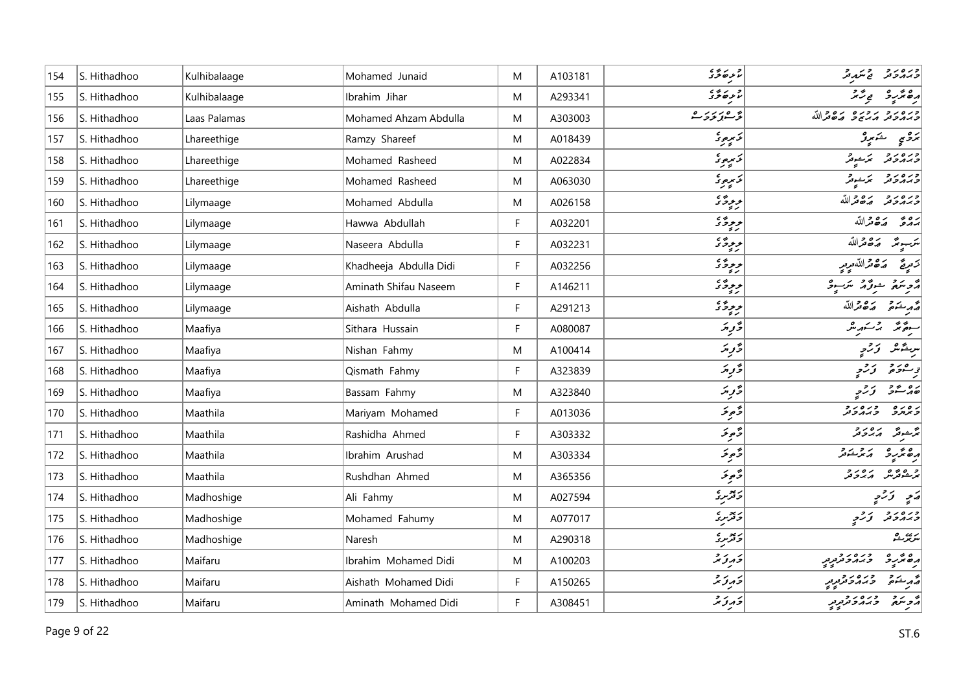| 154 | S. Hithadhoo | Kulhibalaage | Mohamed Junaid         | M           | A103181 | د پر د پر<br>  ما موضوی        | 2010 - 2010<br>2010 - 2010 - 2010                                                                                                                                                                                                |
|-----|--------------|--------------|------------------------|-------------|---------|--------------------------------|----------------------------------------------------------------------------------------------------------------------------------------------------------------------------------------------------------------------------------|
| 155 | S. Hithadhoo | Kulhibalaage | Ibrahim Jihar          | M           | A293341 | د د پرې<br>باره <del>و</del> ر | رەپرىر يېرىر                                                                                                                                                                                                                     |
| 156 | S. Hithadhoo | Laas Palamas | Mohamed Ahzam Abdulla  | M           | A303003 | ۇ سەبەر ئەر سە                 | ورەرو رورە رەھرالله                                                                                                                                                                                                              |
| 157 | S. Hithadhoo | Lhareethige  | Ramzy Shareef          | M           | A018439 | نز مړه د<br>  نو سره           | بَرَدْمٍ ۖ شَمَرٍرٌ                                                                                                                                                                                                              |
| 158 | S. Hithadhoo | Lhareethige  | Mohamed Rasheed        | M           | A022834 | ر<br>ئۈمىرە ئ                  | ورەرو كرشوتر                                                                                                                                                                                                                     |
| 159 | S. Hithadhoo | Lhareethige  | Mohamed Rasheed        | M           | A063030 | <br>  تذسير حر <sup>ى</sup>    | ورەرو كەشپەر                                                                                                                                                                                                                     |
| 160 | S. Hithadhoo | Lilymaage    | Mohamed Abdulla        | M           | A026158 | ووڈء                           | وره رو ده دالله                                                                                                                                                                                                                  |
| 161 | S. Hithadhoo | Lilymaage    | Hawwa Abdullah         | F           | A032201 | وودٌى<br>روژ                   | بروء رووالله                                                                                                                                                                                                                     |
| 162 | S. Hithadhoo | Lilymaage    | Naseera Abdulla        | F.          | A032231 | ووڈء                           | سَرَ-جِسَدَ صَـ20مَرْاللّه                                                                                                                                                                                                       |
| 163 | S. Hithadhoo | Lilymaage    | Khadheeja Abdulla Didi | F           | A032256 | ووژگی<br>رئی                   | ترمريحٌ   صَرْحُ مِرْ اللّهِ مِرْمَرِ                                                                                                                                                                                            |
| 164 | S. Hithadhoo | Lilymaage    | Aminath Shifau Naseem  | F           | A146211 | و و د ؟<br>  ر ء               | أأو أرو الموادة الأرادة                                                                                                                                                                                                          |
| 165 | S. Hithadhoo | Lilymaage    | Aishath Abdulla        | F           | A291213 | و و د ؟<br>  ر و               | مُدشَقِ مَصْقَرَاللّه                                                                                                                                                                                                            |
| 166 | S. Hithadhoo | Maafiya      | Sithara Hussain        | $\mathsf F$ | A080087 | ء زېر<br> خ <sup>ر</sup> بر    | سوەلىر بر مىكرىش                                                                                                                                                                                                                 |
| 167 | S. Hithadhoo | Maafiya      | Nishan Fahmy           | M           | A100414 | څ پو پر                        | سريشش وكرمي                                                                                                                                                                                                                      |
| 168 | S. Hithadhoo | Maafiya      | Qismath Fahmy          | F           | A323839 | څ پو پر                        | توسع فرقم وكرمي                                                                                                                                                                                                                  |
| 169 | S. Hithadhoo | Maafiya      | Bassam Fahmy           | M           | A323840 | ۇ <sub>ئوب</sub> رَ            | 5.33300                                                                                                                                                                                                                          |
| 170 | S. Hithadhoo | Maathila     | Mariyam Mohamed        | F.          | A013036 | قرموځه                         | נסנס כנסנכ<br>כ <i>אתכ כג</i> וכנ                                                                                                                                                                                                |
| 171 | S. Hithadhoo | Maathila     | Rashidha Ahmed         | $\mathsf F$ | A303332 | قرموځه                         | ر<br>برگسونر کاربرونر                                                                                                                                                                                                            |
| 172 | S. Hithadhoo | Maathila     | Ibrahim Arushad        | M           | A303334 | رشمو محر                       | ת ביציב היציבית                                                                                                                                                                                                                  |
| 173 | S. Hithadhoo | Maathila     | Rushdhan Ahmed         | M           | A365356 | قرموځه                         | و ه ده و بره برو<br>برخوترس مربروتر                                                                                                                                                                                              |
| 174 | S. Hithadhoo | Madhoshige   | Ali Fahmy              | M           | A027594 | ریو ر <sub>ی</sub>             | أة يحتمد وترحيب                                                                                                                                                                                                                  |
| 175 | S. Hithadhoo | Madhoshige   | Mohamed Fahumy         | M           | A077017 | ر بو<br>  <del>د</del> تر برد  | ورەرو روپ                                                                                                                                                                                                                        |
| 176 | S. Hithadhoo | Madhoshige   | Naresh                 | M           | A290318 | ئەقترىرىگە                     | سرتيزيشه                                                                                                                                                                                                                         |
| 177 | S. Hithadhoo | Maifaru      | Ibrahim Mohamed Didi   | M           | A100203 | ئەرىرىمە                       | ر د د ه د و و و و د کلیکنده استان کار د کلیکن استان کردن در استان کار در استان کار در استان کار در استان کار د<br>کلیکن کار کلیکن کار کلیکن کار کلیکن کار کلیکن کار در استان کار در استان کار کلیکن کار کلیکن کار برابر برابر کل |
| 178 | S. Hithadhoo | Maifaru      | Aishath Mohamed Didi   | F.          | A150265 | دَ مِروَ تَدُ                  |                                                                                                                                                                                                                                  |
| 179 | S. Hithadhoo | Maifaru      | Aminath Mohamed Didi   | F           | A308451 | ئەرىرىمە                       | ر<br>1. 1993 - 1993 1999 1999                                                                                                                                                                                                    |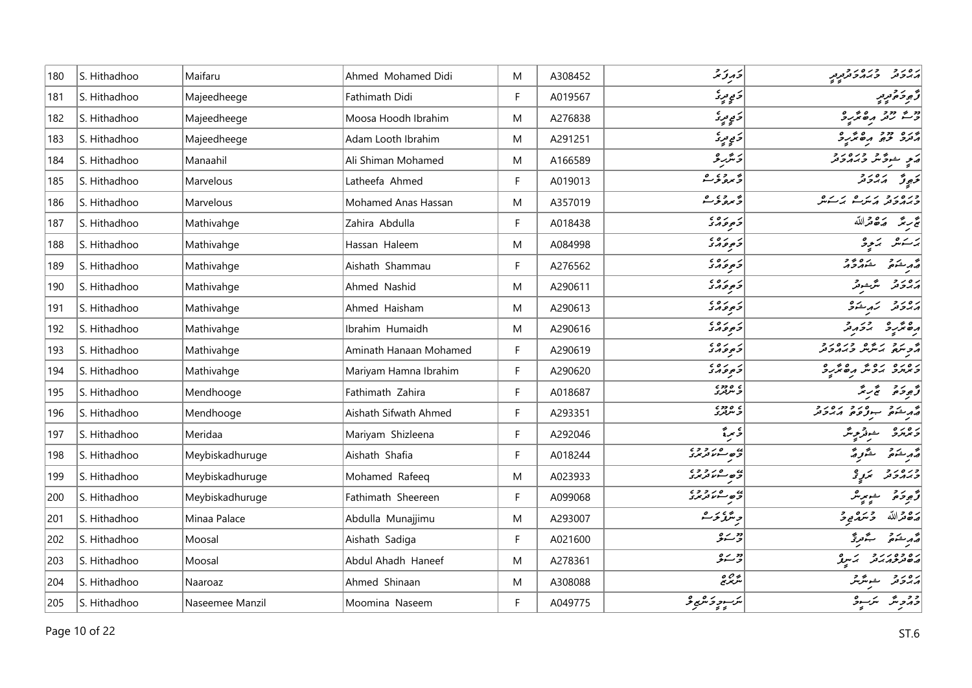| 180 | S. Hithadhoo | Maifaru         | Ahmed Mohamed Didi     | M           | A308452 | لخەرىپى                                   | ر و د و د و د و د ورود د                                                                         |
|-----|--------------|-----------------|------------------------|-------------|---------|-------------------------------------------|--------------------------------------------------------------------------------------------------|
| 181 | S. Hithadhoo | Majeedheege     | Fathimath Didi         | F           | A019567 | ر<br>5 يو تورگر                           | ا توج و تحر مر<br>الحرار الحرار الحرار                                                           |
| 182 | S. Hithadhoo | Majeedheege     | Moosa Hoodh Ibrahim    | M           | A276838 | <br>  تو موړي<br>                         | $\begin{array}{c} 0 & 0 & 0 & 0 \\ 0 & 0 & 0 & 0 \\ 0 & -1 & 0 & 0 \\ 0 & 0 & 0 & 0 \end{array}$ |
| 183 | S. Hithadhoo | Majeedheege     | Adam Looth Ibrahim     | M           | A291251 | <br> خرمچ تور <sup>ی</sup>                |                                                                                                  |
| 184 | S. Hithadhoo | Manaahil        | Ali Shiman Mohamed     | M           | A166589 | ئەنئەر بۇ                                 | د د شود وره د د                                                                                  |
| 185 | S. Hithadhoo | Marvelous       | Latheefa Ahmed         | F           | A019013 | ۇ برەي ھ<br>ق                             | كجموتى مكارد                                                                                     |
| 186 | S. Hithadhoo | Marvelous       | Mohamed Anas Hassan    | M           | A357019 | ۇ برەي ھ<br>ق                             | ورەرو رىرے رىك                                                                                   |
| 187 | S. Hithadhoo | Mathivahge      | Zahira Abdulla         | F           | A018438 | ر ده ده<br>د موم در                       | تج ستمر محدث الله                                                                                |
| 188 | S. Hithadhoo | Mathivahge      | Hassan Haleem          | M           | A084998 | ئەمرەرى                                   | زىكى ئەرە                                                                                        |
| 189 | S. Hithadhoo | Mathivahge      | Aishath Shammau        | F           | A276562 | ر مره ،<br><del>د</del> م <sub>و</sub> مړ | أقرم شوح مشوره وحر                                                                               |
| 190 | S. Hithadhoo | Mathivahge      | Ahmed Nashid           | M           | A290611 | ر ده ،<br>د د د د                         | رەرو شەد                                                                                         |
| 191 | S. Hithadhoo | Mathivahge      | Ahmed Haisham          | M           | A290613 | ر مره ،<br><del>د</del> مومړ              | رەرو ئەيدۇ                                                                                       |
| 192 | S. Hithadhoo | Mathivahge      | Ibrahim Humaidh        | M           | A290616 | ر مره ،<br>د موغه د                       | ת ביציב הבתיק                                                                                    |
| 193 | S. Hithadhoo | Mathivahge      | Aminath Hanaan Mohamed | F.          | A290619 | ر مره ،<br><del>د</del> م <sub>و</sub> مړ | י גב גודם בגם בירי<br>הכיתם הייתיות בההכת                                                        |
| 194 | S. Hithadhoo | Mathivahge      | Mariyam Hamna Ibrahim  | F           | A290620 | ر ده ،<br>د م <sub>و</sub> مړي            | קסקס קסות תסוקקפ                                                                                 |
| 195 | S. Hithadhoo | Mendhooge       | Fathimath Zahira       | $\mathsf F$ | A018687 | ړ و دو ړ<br>تر مرکزي                      | و و ده پخ به                                                                                     |
| 196 | S. Hithadhoo | Mendhooge       | Aishath Sifwath Ahmed  | F.          | A293351 | ے دو دو ے<br>تر سربری                     | و مشهور سوره و دره در د                                                                          |
| 197 | S. Hithadhoo | Meridaa         | Mariyam Shizleena      | F           | A292046 | ترىر ئېچ                                  | دەرە ھەنگە يەر                                                                                   |
| 198 | S. Hithadhoo | Meybiskadhuruge | Aishath Shafia         | F           | A018244 | ن<br>د ه سوما تربو د                      | شگورگ<br>لمجمر يشكوهم                                                                            |
| 199 | S. Hithadhoo | Meybiskadhuruge | Mohamed Rafeeq         | M           | A023933 | ن<br> ت <i>ی جا سوما فریوی</i>            | و ر ه ر د<br>تر پر تر تر<br>ىروچ                                                                 |
| 200 | S. Hithadhoo | Meybiskadhuruge | Fathimath Sheereen     | $\mathsf F$ | A099068 | ان<br>  تخری سور تو و ح<br>               | شومریگر<br><u>گ</u> گ<br>قرموحرم                                                                 |
| 201 | S. Hithadhoo | Minaa Palace    | Abdulla Munajjimu      | M           | A293007 | <sub>ج</sub> ېترو ځر شه                   | و پره په د<br>تر شمه يې تر<br><mark>بر22</mark> مرالله                                           |
| 202 | S. Hithadhoo | Moosal          | Aishath Sadiga         | $\mathsf F$ | A021600 | در مەھ                                    | وكمرشكوكم ستكفرتم                                                                                |
| 203 | S. Hithadhoo | Moosal          | Abdul Ahadh Haneef     | M           | A278361 | در مەھ                                    | גם כסגנב הבית                                                                                    |
| 204 | S. Hithadhoo | Naaroaz         | Ahmed Shinaan          | M           | A308088 | پرم ہ<br>سرچر                             | رەرو ھەشرىر<br>مەردىر ھەشرىر                                                                     |
| 205 | S. Hithadhoo | Naseemee Manzil | Moomina Naseem         | F           | A049775 | ا <sub>مكەسوچ</sub> ە ئەھمىي قە           | وأروش لترسو                                                                                      |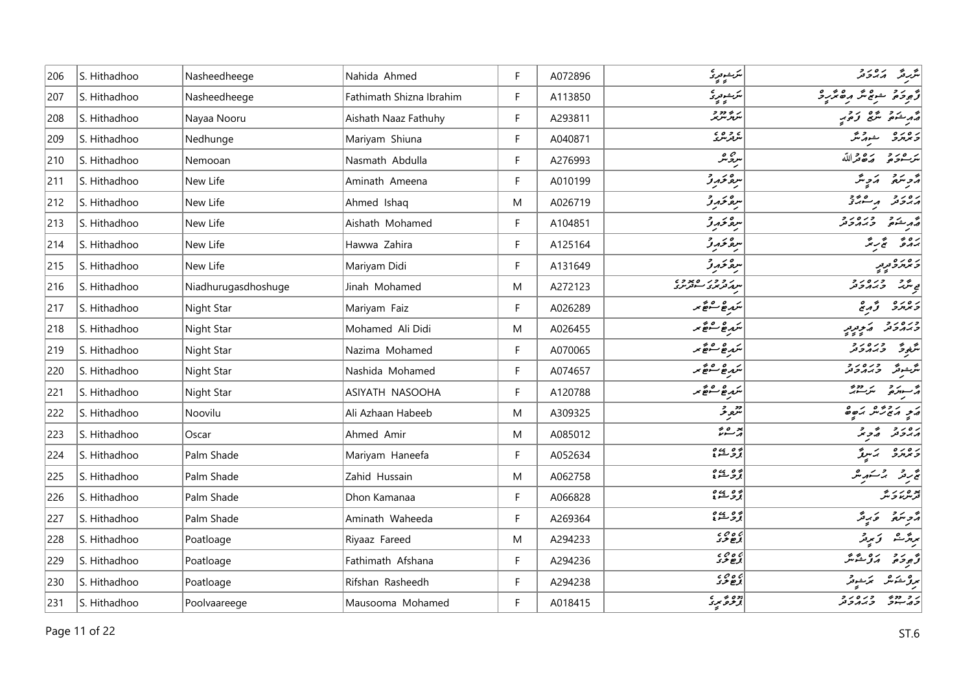| 206 | S. Hithadhoo | Nasheedheege        | Nahida Ahmed             | F  | A072896 | مگرشوتور <sup>ي</sup><br>پخ پخ       | أنثر برقد ورو                                |
|-----|--------------|---------------------|--------------------------|----|---------|--------------------------------------|----------------------------------------------|
| 207 | S. Hithadhoo | Nasheedheege        | Fathimath Shizna Ibrahim | F. | A113850 | سکرشوتورگر<br>پخچ                    | ה<br>הקבת ביצית תפילת                        |
| 208 | S. Hithadhoo | Nayaa Nooru         | Aishath Naaz Fathuhy     | F. | A293811 | ىر ئە دو د                           | و ديدو چې ده.<br>د مشوه شي وه                |
| 209 | S. Hithadhoo | Nedhunge            | Mariyam Shiuna           | F. | A040871 | ء ج ۾<br>سربرسري                     | رەرە خەرش                                    |
| 210 | S. Hithadhoo | Nemooan             | Nasmath Abdulla          | F  | A276993 | سردكر                                | ترعره روقه الله                              |
| 211 | S. Hithadhoo | New Life            | Aminath Ameena           | F  | A010199 | ببره ځه بر                           | أأروبتكم أأروبتر                             |
| 212 | S. Hithadhoo | New Life            | Ahmed Ishaq              | M  | A026719 | سره ځه و                             | رەرد مەدد                                    |
| 213 | S. Hithadhoo | New Life            | Aishath Mohamed          | F  | A104851 | ببره ځه بر                           | أورشني ورورو                                 |
| 214 | S. Hithadhoo | New Life            | Hawwa Zahira             | F  | A125164 | سره ځرمر ژ                           | بروته بجربته                                 |
| 215 | S. Hithadhoo | New Life            | Mariyam Didi             | F. | A131649 | سره ځه د                             | ر ه ر ه دور<br>د بربرد د په                  |
| 216 | S. Hithadhoo | Niadhurugasdhoshuge | Jinah Mohamed            | M  | A272123 | ر و و ر ۔ ه پر و ،<br>سمدندیری سونرس | بي من 10,0 م<br>من من 10,0 من                |
| 217 | S. Hithadhoo | Night Star          | Mariyam Faiz             | F  | A026289 | سكر هح سكنج مر                       | دەرە ئەرە                                    |
| 218 | S. Hithadhoo | Night Star          | Mohamed Ali Didi         | M  | A026455 | يئد ۾ شوءَ پر                        | ورەرد<br><i>دېرم</i> وتر ك <i>ې</i> ربربر    |
| 219 | S. Hithadhoo | Night Star          | Nazima Mohamed           | F  | A070065 | الترم عصفي                           | لشمو <del>ته وره دو</del>                    |
| 220 | S. Hithadhoo | Night Star          | Nashida Mohamed          | F. | A074657 | التدء شقع                            | ش دره دره<br>شرشوش وبرمرونر                  |
| 221 | S. Hithadhoo | <b>Night Star</b>   | ASIYATH NASOOHA          | F. | A120788 | سَرىء كەھَ بىر                       | و مسروح سر دوم                               |
| 222 | S. Hithadhoo | Noovilu             | Ali Azhaan Habeeb        | M  | A309325 | يتروخه                               | $\frac{1}{2}$                                |
| 223 | S. Hithadhoo | Oscar               | Ahmed Amir               | M  | A085012 | دره پ                                | أرورو وتحرير                                 |
| 224 | S. Hithadhoo | Palm Shade          | Mariyam Haneefa          | F. | A052634 | و و دي ه<br>برو شو و                 | ويروو برسيدً                                 |
| 225 | S. Hithadhoo | Palm Shade          | Zahid Hussain            | M  | A062758 | و و دي ه<br>برگر شو و                | لمح بەقى <sub>ر</sub> ئەسكى <sub>ر</sub> بىر |
| 226 | S. Hithadhoo | Palm Shade          | Dhon Kamanaa             | F  | A066828 | و و دي ه<br>برگر شو و                | بر ہ بر بر<br>تر سربر <del>ک</del> ر سگر     |
| 227 | S. Hithadhoo | Palm Shade          | Aminath Waheeda          | F  | A269364 | و و دي ه<br>برگر شو و                | أزويتهم أقاربته                              |
| 228 | S. Hithadhoo | Poatloage           | Riyaaz Fareed            | M  | A294233 | پر ہ م<br>  پڑھ مڑ <sub>ک</sub>      | برېژنش ترىپەتر                               |
| 229 | S. Hithadhoo | Poatloage           | Fathimath Afshana        | F  | A294236 | پر ہ م<br>  پڑھ مڑ <sub>ک</sub>      | أزوده روشهر                                  |
| 230 | S. Hithadhoo | Poatloage           | Rifshan Rasheedh         | F  | A294238 | پر ہ م<br>  پڑھ مڑ <sub>ک</sub>      | بروکش بر <sub>شونر</sub><br>بروکشو برشونر    |
| 231 | S. Hithadhoo | Poolvaareege        | Mausooma Mohamed         | F. | A018415 | ده ه پر پ<br>  زمره سرد              | נכחומ כנסנכ<br>כני-יכ" במבבת                 |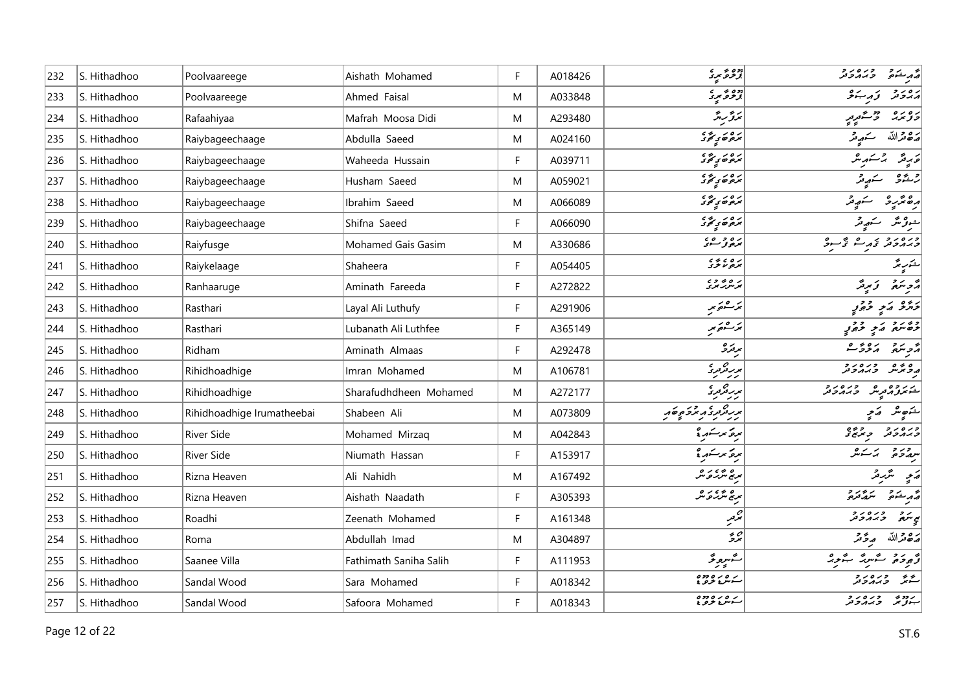| 232 | S. Hithadhoo | Poolvaareege               | Aishath Mohamed        | F  | A018426 | ده ه بو د پر<br>  ژمره مړی                    | أشهر مده دره د و              |
|-----|--------------|----------------------------|------------------------|----|---------|-----------------------------------------------|-------------------------------|
| 233 | S. Hithadhoo | Poolvaareege               | Ahmed Faisal           | M  | A033848 | اده و د پر<br> زمره مړی                       | أرەر وربىر                    |
| 234 | S. Hithadhoo | Rafaahiyaa                 | Mafrah Moosa Didi      | M  | A293480 | بحرقر سرتر                                    |                               |
| 235 | S. Hithadhoo | Raiybageechaage            | Abdulla Saeed          | M  | A024160 | ر ە ر<br>بر <sub>گ</sub> ون <sub>کو</sub> گوى | سته وتر<br>ەھىراللە           |
| 236 | S. Hithadhoo | Raiybageechaage            | Waheeda Hussain        | F  | A039711 | <br>  <del>بره</del> وھ <sub>کو</sub> بھی ت   | ۇربۇ ئەسكەر                   |
| 237 | S. Hithadhoo | Raiybageechaage            | Husham Saeed           | M  | A059021 | ر ه د په د و                                  | رحيقو سنهبط                   |
| 238 | S. Hithadhoo | Raiybageechaage            | Ibrahim Saeed          | M  | A066089 | ره د دره و.<br>مره ه د کرد                    | ەر ھەتمەر 2<br>ر<br>سکوپەتىر  |
| 239 | S. Hithadhoo | Raiybageechaage            | Shifna Saeed           | F. | A066090 | ره د په په<br>بروه <sub>کړ</sub> نو ک         | ے وگٹر کے پر                  |
| 240 | S. Hithadhoo | Raiyfusge                  | Mohamed Gais Gasim     | M  | A330686 | ر ه د ه ه<br>بروز سر                          | ورەرو پر ھ گھرو               |
| 241 | S. Hithadhoo | Raiykelaage                | Shaheera               | F  | A054405 | ر ٥ ، ٥ ، ٢<br>بر <i>ه د</i> بو د             | ىشكەپىتىر<br>ئ                |
| 242 | S. Hithadhoo | Ranhaaruge                 | Aminath Fareeda        | F. | A272822 | ر ۵ ۶ و ۷<br>برس پر بری                       | أأوشي وكبيثر                  |
| 243 | S. Hithadhoo | Rasthari                   | Layal Ali Luthufy      | F  | A291906 | برقصمبر                                       | أوراده أياسي والمحافي         |
| 244 | S. Hithadhoo | Rasthari                   | Lubanath Ali Luthfee   | F  | A365149 | برقيموس                                       |                               |
| 245 | S. Hithadhoo | Ridham                     | Aminath Almaas         | F  | A292478 | برترو                                         | ړې سره پروژگ                  |
| 246 | S. Hithadhoo | Rihidhoadhige              | Imran Mohamed          | M  | A106781 | برروگرد<br>برروگرد                            | ם כי כי כי כי<br>גבית ביית בע |
| 247 | S. Hithadhoo | Rihidhoadhige              | Sharafudhdheen Mohamed | M  | A272177 | ىررىۋىرى<br>س                                 | شروه دره وبره دو              |
| 248 | S. Hithadhoo | Rihidhoadhige Irumatheebai | Shabeen Ali            | M  | A073809 |                                               | شَوْھِ شَرْ مَرْمِرِ          |
| 249 | S. Hithadhoo | <b>River Side</b>          | Mohamed Mirzaq         | M  | A042843 | برە برسەر ؟                                   | כנסנב ביבס                    |
| 250 | S. Hithadhoo | <b>River Side</b>          | Niumath Hassan         | F. | A153917 | مرە ئىرىسكەر ؟                                | سرورو برکش                    |
| 251 | S. Hithadhoo | Rizna Heaven               | Ali Nahidh             | M  | A167492 | ە ئەم ئەرە<br>بىرى مىزر ئويىتر                | رياسي سرگرمر<br>مرکز          |
| 252 | S. Hithadhoo | Rizna Heaven               | Aishath Naadath        | F  | A305393 | ا <sub>مو</sub> ج يتزبر څر                    | و<br>د کرد کو سرونرو          |
| 253 | S. Hithadhoo | Roadhi                     | Zeenath Mohamed        | F  | A161348 | حرمر                                          | پی سره در در د                |
| 254 | S. Hithadhoo | Roma                       | Abdullah Imad          | M  | A304897 | جرمح                                          | برە دالله مەدًىر              |
| 255 | S. Hithadhoo | Saanee Villa               | Fathimath Saniha Salih | F  | A111953 | سەمبەر<br>ئىسىمب                              | و و د د شهرهٔ شوره            |
| 256 | S. Hithadhoo | Sandal Wood                | Sara Mohamed           | F. | A018342 | ر ه ر ه دده<br>- سره مرو د                    | سەتە<br>ور ە ر د<br>تر پروتر  |
| 257 | S. Hithadhoo | Sandal Wood                | Safoora Mohamed        | F  | A018343 | ر په د وروه<br>سرمندو مود د                   | קידו דגם בקרי<br>התציע במחבת  |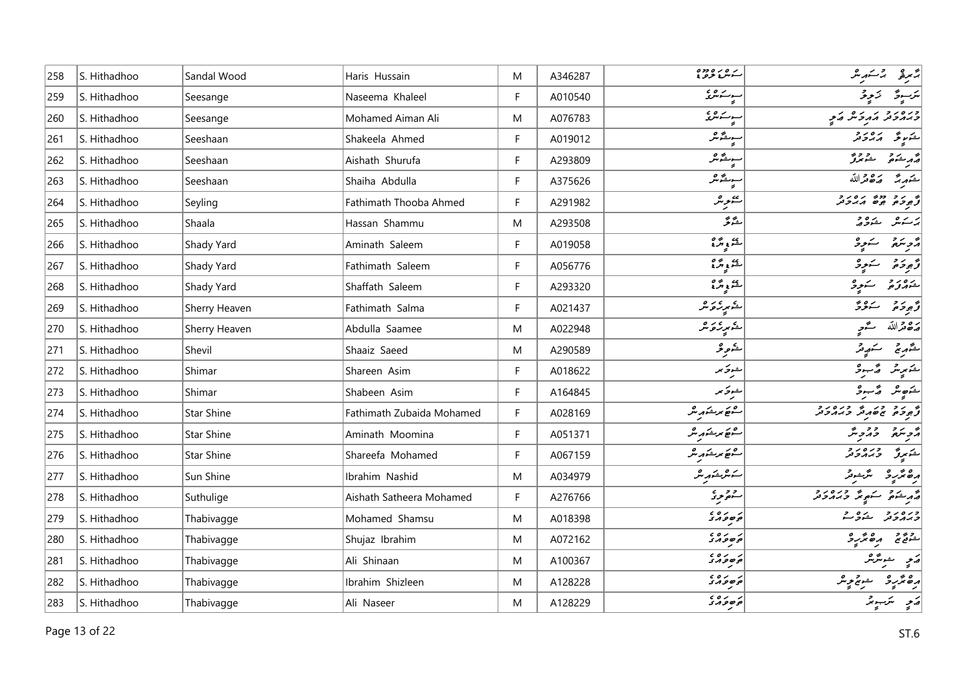| 258 | S. Hithadhoo | Sandal Wood       | Haris Hussain             | M         | A346287 | ر ه ر ه دده<br>سه سر و و د              | مەيدە مەسكەندى<br>سىيدۇ ئىي <sub>م</sub> ىز                                                                                                                                                                               |
|-----|--------------|-------------------|---------------------------|-----------|---------|-----------------------------------------|---------------------------------------------------------------------------------------------------------------------------------------------------------------------------------------------------------------------------|
| 259 | S. Hithadhoo | Seesange          | Naseema Khaleel           | F         | A010540 | سەسەھرى                                 |                                                                                                                                                                                                                           |
| 260 | S. Hithadhoo | Seesange          | Mohamed Aiman Ali         | ${\sf M}$ | A076783 | اب سەتىدى<br>پە                         | ورەرو مەدىر مە                                                                                                                                                                                                            |
| 261 | S. Hithadhoo | Seeshaan          | Shakeela Ahmed            | F         | A019012 | اب دیگر<br>په                           | أشكير في المركز وتر                                                                                                                                                                                                       |
| 262 | S. Hithadhoo | Seeshaan          | Aishath Shurufa           | F         | A293809 | اب مقرشہ<br>مح                          |                                                                                                                                                                                                                           |
| 263 | S. Hithadhoo | Seeshaan          | Shaiha Abdulla            | F         | A375626 | اب چینگر<br>په                          | خدرجً مَهْ مَرْاللّه                                                                                                                                                                                                      |
| 264 | S. Hithadhoo | Seyling           | Fathimath Thooba Ahmed    | F         | A291982 | ڪويگر                                   | و د د دده ده د د                                                                                                                                                                                                          |
| 265 | S. Hithadhoo | Shaala            | Hassan Shammu             | ${\sf M}$ | A293508 | شَرْتَر                                 | ير کشمش الشرح و                                                                                                                                                                                                           |
| 266 | S. Hithadhoo | Shady Yard        | Aminath Saleem            | F         | A019058 | يو په وه<br>مشو پره                     | أزويته كالمزو                                                                                                                                                                                                             |
| 267 | S. Hithadhoo | Shady Yard        | Fathimath Saleem          | F         | A056776 | يو په وره<br>مشغور پره                  | ا تو پر چه د<br>سەرد                                                                                                                                                                                                      |
| 268 | S. Hithadhoo | Shady Yard        | Shaffath Saleem           | F         | A293320 | يو په وره<br>مشغ وگره                   | يدەرد رىرو                                                                                                                                                                                                                |
| 269 | S. Hithadhoo | Sherry Heaven     | Fathimath Salma           | F         | A021437 | ڪ مرگ <i>گر</i> مگر                     | سەۋۇ<br>ء مر د<br>ترموخ م                                                                                                                                                                                                 |
| 270 | S. Hithadhoo | Sherry Heaven     | Abdulla Saamee            | ${\sf M}$ | A022948 | ديمبر <i>بار هر</i>                     | مَەھْتَراللَّهُ گُوج                                                                                                                                                                                                      |
| 271 | S. Hithadhoo | Shevil            | Shaaiz Saeed              | M         | A290589 | ڪور                                     | شگهريخ ڪهيھر                                                                                                                                                                                                              |
| 272 | S. Hithadhoo | Shimar            | Shareen Asim              | F         | A018622 | المشوقة بدأ<br>ك                        | $\begin{array}{cc} \hline \begin{array}{cc} \circ & \circ \\ \circ & \circ \end{array} & \circ & \circ \\ \hline \end{array} \begin{array}{cc} \circ & \circ \\ \circ & \circ \end{array} & \circ & \circ \\ \end{array}$ |
| 273 | S. Hithadhoo | Shimar            | Shabeen Asim              | F         | A164845 | شەتى بىر                                | شَوَمِسْ مُرْجَو                                                                                                                                                                                                          |
| 274 | S. Hithadhoo | <b>Star Shine</b> | Fathimath Zubaida Mohamed | F         | A028169 | <u>شوڪ پر سُدَ</u> پر سُر               | ومجدد ومدة ورودد                                                                                                                                                                                                          |
| 275 | S. Hithadhoo | <b>Star Shine</b> | Aminath Moomina           | F         | A051371 | سنقح مرسنتور مثر                        | أأزويتم والمرويثر                                                                                                                                                                                                         |
| 276 | S. Hithadhoo | <b>Star Shine</b> | Shareefa Mohamed          | F         | A067159 | ر<br>ساھ مرڪور سگر                      | و ره ر د<br><i>د ب</i> رگرفر<br>ىشەمبرۇگ<br>ئ                                                                                                                                                                             |
| 277 | S. Hithadhoo | Sun Shine         | Ibrahim Nashid            | M         | A034979 | سەن <sub>ى</sub> رىشە <sub>مە</sub> بىر | ەھ <i>ئۈر ئۇ ھۇ</i> شوقر<br>م                                                                                                                                                                                             |
| 278 | S. Hithadhoo | Suthulige         | Aishath Satheera Mohamed  | F         | A276766 | د د د ،<br>سهومور                       |                                                                                                                                                                                                                           |
| 279 | S. Hithadhoo | Thabivagge        | Mohamed Shamsu            | ${\sf M}$ | A018398 | $\frac{1}{2}$                           | ورەرو شۇرقى                                                                                                                                                                                                               |
| 280 | S. Hithadhoo | Thabivagge        | Shujaz Ibrahim            | ${\sf M}$ | A072162 | $\frac{1}{2}$                           | رو و حر<br>ەرھەترىرى<br>ر                                                                                                                                                                                                 |
| 281 | S. Hithadhoo | Thabivagge        | Ali Shinaan               | ${\sf M}$ | A100367 | ر صره و و<br>موضور د                    | ەكىر سىرتىگىر<br>ئىسىسىر                                                                                                                                                                                                  |
| 282 | S. Hithadhoo | Thabivagge        | Ibrahim Shizleen          | M         | A128228 | $\frac{1}{2}$                           | ېر ھېجر پەر<br>س<br>مەرى <sup>ق</sup> ە بەيدىگە                                                                                                                                                                           |
| 283 | S. Hithadhoo | Thabivagge        | Ali Naseer                | ${\sf M}$ | A128229 | ر مره و<br>مومو د د                     | أوسمع المتكرمية                                                                                                                                                                                                           |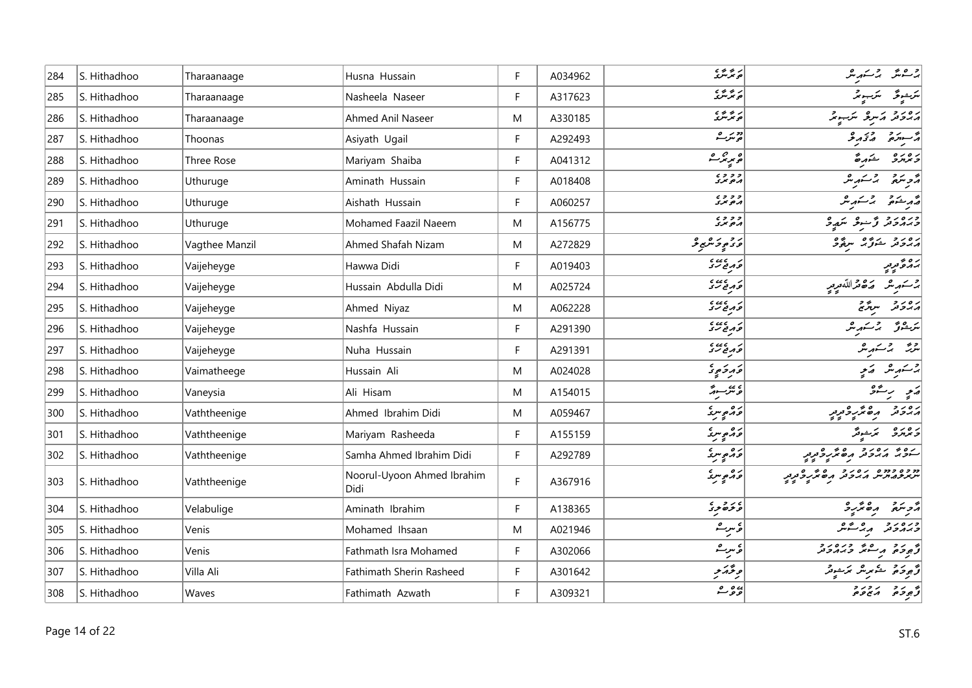| 284 | S. Hithadhoo | Tharaanaage    | Husna Hussain                      | F           | A034962 | ر پر پر پر<br>امو پرسری                    | ر مشر بر مسامر مر                                          |
|-----|--------------|----------------|------------------------------------|-------------|---------|--------------------------------------------|------------------------------------------------------------|
| 285 | S. Hithadhoo | Tharaanaage    | Nasheela Naseer                    | F           | A317623 | ر پر پر ،<br>حرمتر                         | لترجيع الترجيح                                             |
| 286 | S. Hithadhoo | Tharaanaage    | <b>Ahmed Anil Naseer</b>           | M           | A330185 | ر و و ،<br>موسر                            | رور د بربرو تربه د                                         |
| 287 | S. Hithadhoo | Thoonas        | Asiyath Ugail                      | F           | A292493 | ە ئەسرىب                                   | ה ליחודים הצתיב                                            |
| 288 | S. Hithadhoo | Three Rose     | Mariyam Shaiba                     | F           | A041312 | ە بېرىرگە<br>موس <sub>ىر</sub>             | زەرە شەرگە                                                 |
| 289 | S. Hithadhoo | Uthuruge       | Aminath Hussain                    | F           | A018408 | د د د د<br>مرحوبور                         | أأديتهم المرسكر                                            |
| 290 | S. Hithadhoo | Uthuruge       | Aishath Hussain                    | F           | A060257 | د د د د<br>پره پرې                         | مەر شىم بەسكىرىش                                           |
| 291 | S. Hithadhoo | Uthuruge       | Mohamed Faazil Naeem               | M           | A156775 | د د د پ<br>پره مرد                         | ورەرو ۋىدۇ شھرۇ                                            |
| 292 | S. Hithadhoo | Vagthee Manzil | Ahmed Shafah Nizam                 | M           | A272829 | د د و پر مربو ژ                            | رور و شرق سرگاه                                            |
| 293 | S. Hithadhoo | Vaijeheyge     | Hawwa Didi                         | $\mathsf F$ | A019403 | ر<br>ح در ج ر د                            | بره و ګورمړ<br>په رگه تو                                   |
| 294 | S. Hithadhoo | Vaijeheyge     | Hussain Abdulla Didi               | M           | A025724 | ر<br>تو در ج ر د                           | جرستمريثر وكالقراللّة موسير                                |
| 295 | S. Hithadhoo | Vaijeheyge     | Ahmed Niyaz                        | M           | A062228 | ر<br>تو در ج ر د                           |                                                            |
| 296 | S. Hithadhoo | Vaijeheyge     | Nashfa Hussain                     | $\mathsf F$ | A291390 | ر<br>تو در ج ر د                           | للركافؤ الركسكرانكر                                        |
| 297 | S. Hithadhoo | Vaijeheyge     | Nuha Hussain                       | F           | A291391 | ر<br>تو در ج ر د                           | يرتز برستمديش                                              |
| 298 | S. Hithadhoo | Vaimatheege    | Hussain Ali                        | M           | A024028 | ر<br>وړونون                                | برسكر شركتم وكالمح                                         |
| 299 | S. Hithadhoo | Vaneysia       | Ali Hisam                          | M           | A154015 | ه مه هر<br>و مترسبور                       | أەيم برستى                                                 |
| 300 | S. Hithadhoo | Vaththeenige   | Ahmed Ibrahim Didi                 | M           | A059467 | ره<br>درموسرځ                              | גם גד הסתניכתת                                             |
| 301 | S. Hithadhoo | Vaththeenige   | Mariyam Rasheeda                   | F           | A155159 | د ه ه مرځ<br>  د ه ه مرغ                   | رەرە يرَجعَّ                                               |
| 302 | S. Hithadhoo | Vaththeenige   | Samha Ahmed Ibrahim Didi           | F           | A292789 | د ۵ ه مربر<br>  د ۶ ه مربر                 | ره د برور د ه و د و ورمړ<br>سرچينې پرېرونکر پره برخونږد    |
| 303 | S. Hithadhoo | Vaththeenige   | Noorul-Uyoon Ahmed Ibrahim<br>Didi | F           | A367916 | ءَ ۾ ڇپري                                  | חדכם כחדם הסגב הם מיטבעת.<br>ייתוב מותיית וממכת ומסית מבעת |
| 304 | S. Hithadhoo | Velabulige     | Aminath Ibrahim                    | F           | A138365 | ، ر و ،<br>و <del>و</del> ه و <sub>و</sub> | ومحر يتمتح وهتربرد                                         |
| 305 | S. Hithadhoo | Venis          | Mohamed Ihsaan                     | M           | A021946 | ۇسرىقە                                     | ورەرو مەشھ                                                 |
| 306 | S. Hithadhoo | Venis          | Fathmath Isra Mohamed              | F           | A302066 | ۇسرىشە                                     | م د د د دره د در د د<br>گرجومو م سوند و بر مرومد           |
| 307 | S. Hithadhoo | Villa Ali      | <b>Fathimath Sherin Rasheed</b>    | F           | A301642 | وِ دَّمَرَ دِ                              | ۇۋۇق شېرىگە ئەشپە                                          |
| 308 | S. Hithadhoo | Waves          | Fathimath Azwath                   | F           | A309321 | ءہ م                                       | أثور و درو                                                 |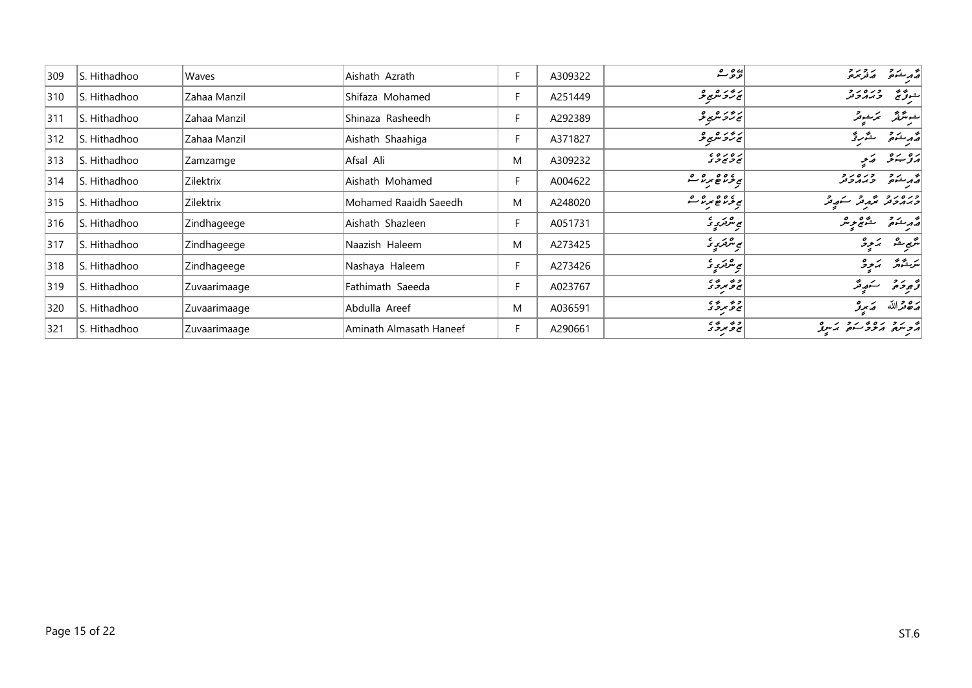| 309 | l S. Hithadhoo | Waves            | Aishath Azrath          | F | A309322 | پی م م<br>  حر حر م                    | أور المرد و المتحر مردم               |
|-----|----------------|------------------|-------------------------|---|---------|----------------------------------------|---------------------------------------|
| 310 | l S. Hithadhoo | Zahaa Manzil     | Shifaza Mohamed         |   | A251449 | ىر ئەز شەير بۇ                         | شەۋگە<br>و ره ر و<br><i>د ب</i> رگرفر |
| 311 | S. Hithadhoo   | Zahaa Manzil     | Shinaza Rasheedh        | F | A292389 | ئەشرىقى ئە                             | ىشەمگەگر<br>بمرشوقر                   |
| 312 | l S. Hithadhoo | Zahaa Manzil     | Aishath Shaahiga        |   | A371827 | ئەشرىقى بۇ                             | لەرم ئەھرىسى ئەھمەتى                  |
| 313 | l S. Hithadhoo | Zamzamge         | Afsal Ali               | M | A309232 | پر و پر و ۽<br>  پڻ جي جر ي            | پروېږو<br>رزمر                        |
| 314 | l S. Hithadhoo | <b>Zilektrix</b> | Aishath Mohamed         | F | A004622 | ى ئۇ ئەھ بىر ئەگ                       | ه دره دره در ور<br>مهر شور در در در   |
| 315 | S. Hithadhoo   | Zilektrix        | Mohamed Raaidh Saeedh   | M | A248020 | 00000<br>بح قرنا خا برنا سنا           | وره د د عهد د سکه مر                  |
| 316 | S. Hithadhoo   | Zindhageege      | Aishath Shazleen        |   | A051731 | ىج ئىرتىكرىي تى                        | پژر شوی د شویج موسر                   |
| 317 | l S. Hithadhoo | Zindhageege      | Naazish Haleem          | M | A273425 | ىج ئىرتىكرى ئى                         | شربې ھئے ما کر برگ                    |
| 318 | l S. Hithadhoo | Zindhageege      | Nashaya Haleem          | F | A273426 | پر مر <sub>کور</sub> ي<br>  سرچري      | سَرَڪْهُرَّ<br>برود                   |
| 319 | l S. Hithadhoo | Zuvaarimaage     | Fathimath Saeeda        |   | A023767 | د پر په په<br>  بع ټورند که            | ستهر قر<br>ا تو جو جر جر<br>المرجو جر |
| 320 | S. Hithadhoo   | Zuvaarimaage     | Abdulla Areef           | M | A036591 | ج ځ سر ځ ی<br>  مح سر څ که             | ح قدالله حريرو                        |
| 321 | S. Hithadhoo   | Zuvaarimaage     | Aminath Almasath Haneef | F | A290661 | و پر پر پر<br>مح خر پر تر <sub>ک</sub> | أأرو برو و رو د د                     |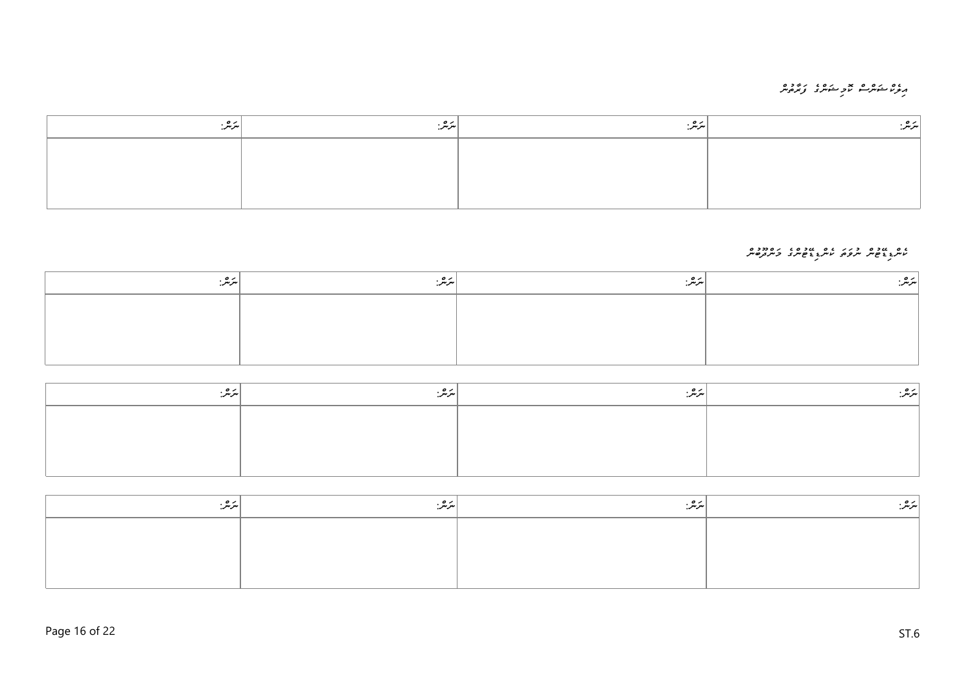## *w7qAn8m? sCw7mRo>u; wEw7mRw;sBo<*

| ' مرمر | 'يئرىثر: |
|--------|----------|
|        |          |
|        |          |
|        |          |

## *w7q9r@w7m> sCw7qHtFoFw7s; mAm=q7 w7qHtFoFw7s;*

| يئرمىش: | $^{\circ}$<br>. سر سر<br>$\cdot$ | $\circ$ $\sim$<br>-- | يئرمثر |
|---------|----------------------------------|----------------------|--------|
|         |                                  |                      |        |
|         |                                  |                      |        |
|         |                                  |                      |        |

| يره | $^{\circ}$ | $\frac{2}{n}$ | $^{\circ}$<br>سرسر. |
|-----|------------|---------------|---------------------|
|     |            |               |                     |
|     |            |               |                     |
|     |            |               |                     |

| ىرتىر: | 。<br>سر سر | .,<br>مرسر |
|--------|------------|------------|
|        |            |            |
|        |            |            |
|        |            |            |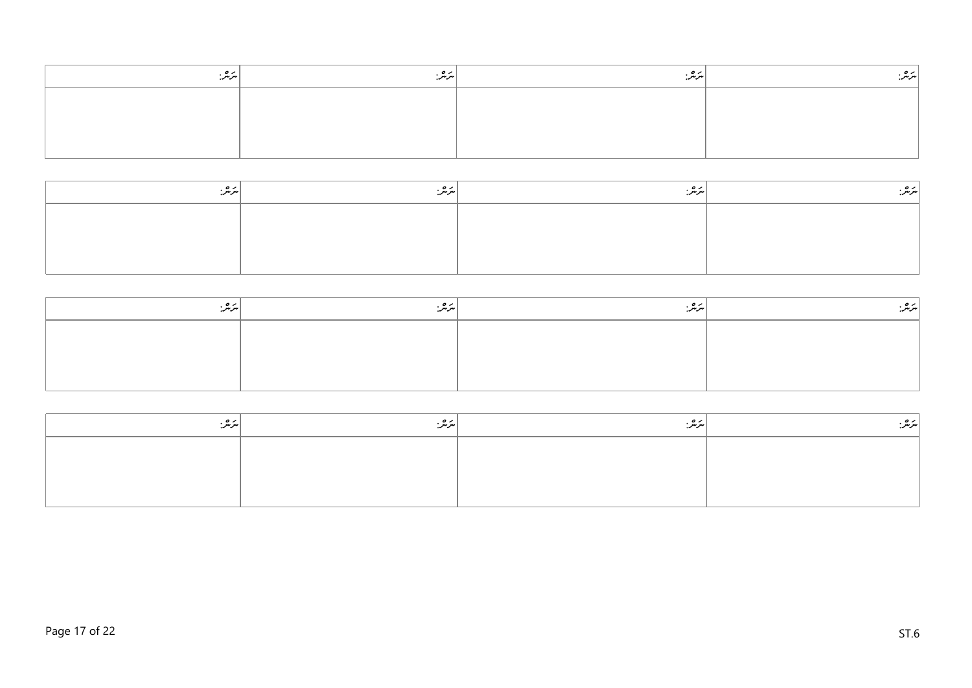| يره. | ο. | ا ير ه |  |
|------|----|--------|--|
|      |    |        |  |
|      |    |        |  |
|      |    |        |  |

| <sup>.</sup> سرسر. |  |
|--------------------|--|
|                    |  |
|                    |  |
|                    |  |

| ىئرىتر. | $\sim$ | ا بر هه. | لىرىش |
|---------|--------|----------|-------|
|         |        |          |       |
|         |        |          |       |
|         |        |          |       |

| 。<br>مرس. | $\overline{\phantom{a}}$<br>مر مىر | يتريثر |
|-----------|------------------------------------|--------|
|           |                                    |        |
|           |                                    |        |
|           |                                    |        |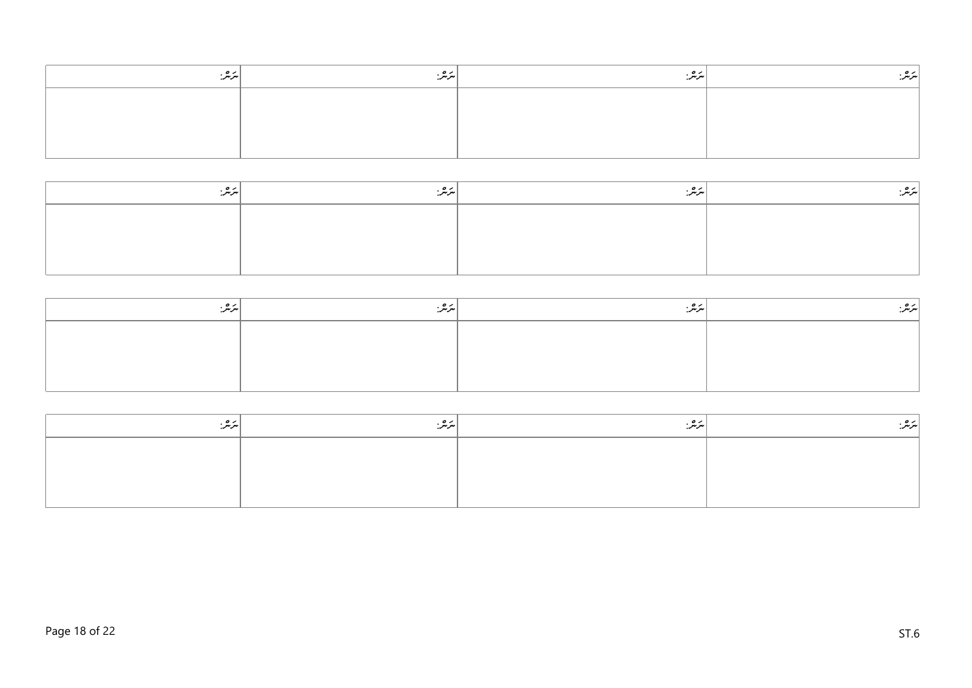| ير هو . | $\overline{\phantom{a}}$ | يرمر | اير هنه. |
|---------|--------------------------|------|----------|
|         |                          |      |          |
|         |                          |      |          |
|         |                          |      |          |

| ىر تىر: | $\circ$ $\sim$<br>" سرسر . | يبرحه | o . |
|---------|----------------------------|-------|-----|
|         |                            |       |     |
|         |                            |       |     |
|         |                            |       |     |

| 'تترنثر: | 。<br>,,,, |  |
|----------|-----------|--|
|          |           |  |
|          |           |  |
|          |           |  |

|  | . ه |
|--|-----|
|  |     |
|  |     |
|  |     |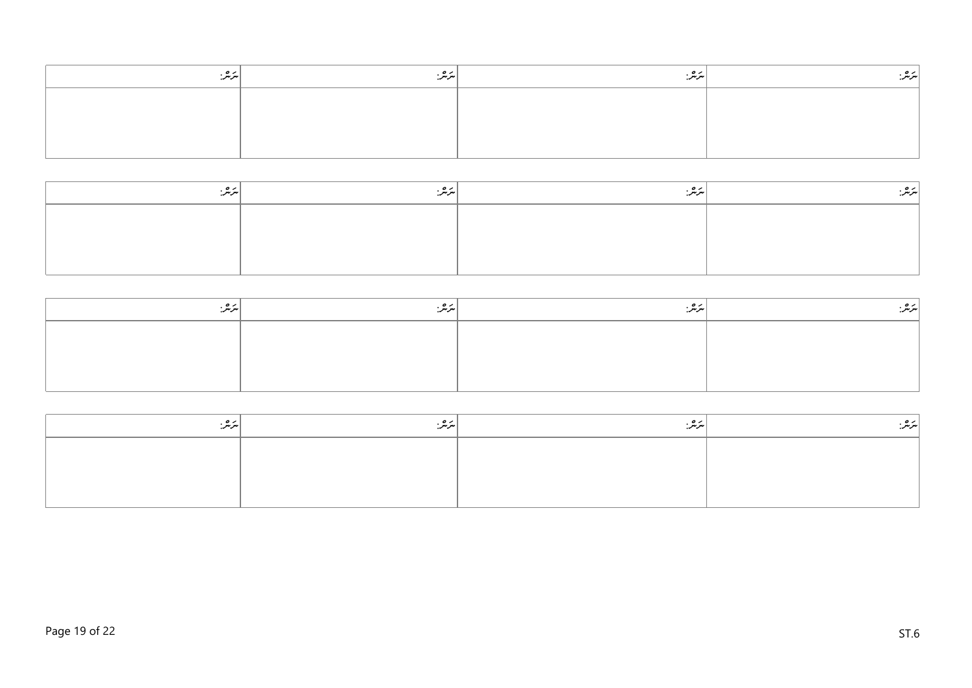| ير هو . | $\overline{\phantom{a}}$ | يرمر | اير هنه. |
|---------|--------------------------|------|----------|
|         |                          |      |          |
|         |                          |      |          |
|         |                          |      |          |

| ىر تىر: | $\circ$ $\sim$<br>" سرسر . | يبرحه | o . |
|---------|----------------------------|-------|-----|
|         |                            |       |     |
|         |                            |       |     |
|         |                            |       |     |

| 'تترنثر: | 。<br>,,,, |  |
|----------|-----------|--|
|          |           |  |
|          |           |  |
|          |           |  |

|  | . ه |
|--|-----|
|  |     |
|  |     |
|  |     |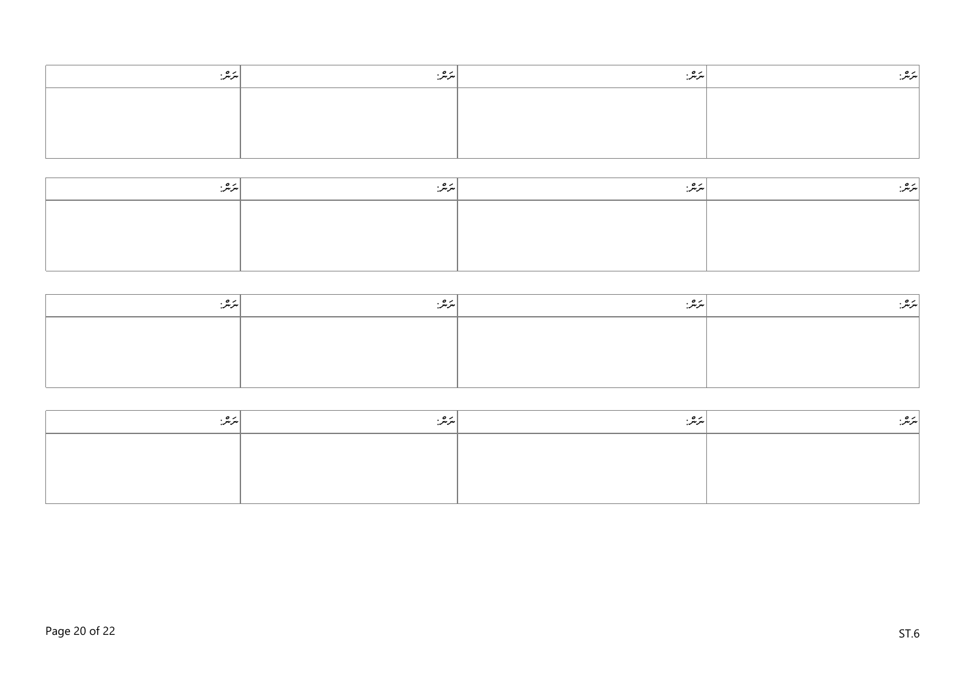| $\cdot$ | ο. | $\frac{\circ}{\cdot}$ | $\sim$<br>سرسر |
|---------|----|-----------------------|----------------|
|         |    |                       |                |
|         |    |                       |                |
|         |    |                       |                |

| ايرعر: | ر ه<br>. . |  |
|--------|------------|--|
|        |            |  |
|        |            |  |
|        |            |  |

| بر ه | 。 | $\sim$<br>َ سومس. |  |
|------|---|-------------------|--|
|      |   |                   |  |
|      |   |                   |  |
|      |   |                   |  |

| ىئرىتر: | $^{\circ}$<br>يسمر مسمد. | ابترىش: | $^{\circ}$<br>سرسر |
|---------|--------------------------|---------|--------------------|
|         |                          |         |                    |
|         |                          |         |                    |
|         |                          |         |                    |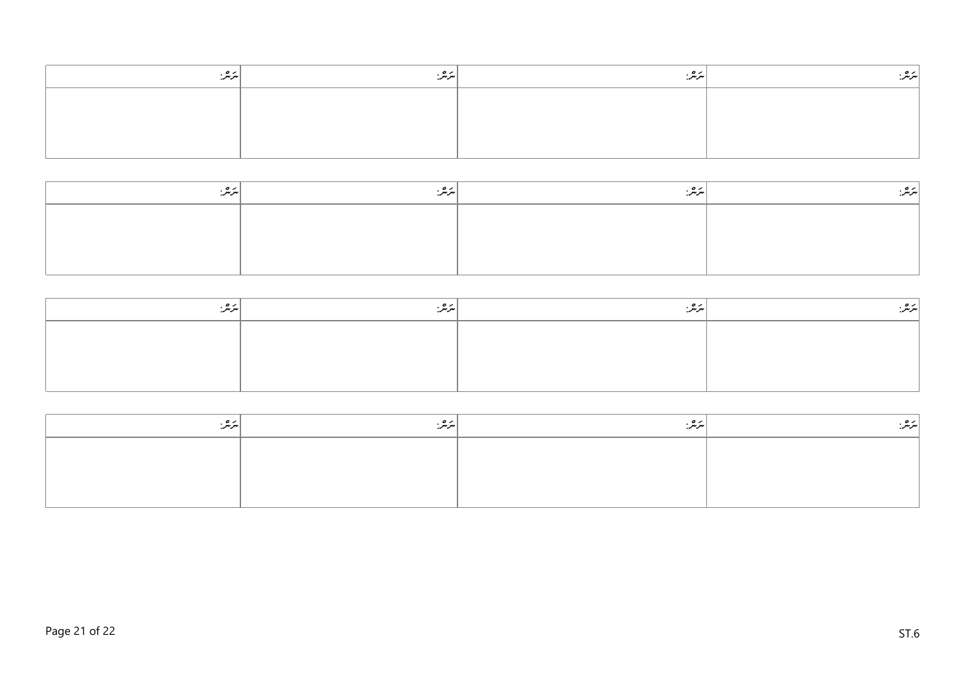| ير هو . | $\overline{\phantom{a}}$ | يرمر | اير هنه. |
|---------|--------------------------|------|----------|
|         |                          |      |          |
|         |                          |      |          |
|         |                          |      |          |

| ىر تىر: | $\circ$ $\sim$<br>" سرسر . | يبرحه | o . |
|---------|----------------------------|-------|-----|
|         |                            |       |     |
|         |                            |       |     |
|         |                            |       |     |

| انترنثر: | ر ه |  |
|----------|-----|--|
|          |     |  |
|          |     |  |
|          |     |  |

|  | . ه |
|--|-----|
|  |     |
|  |     |
|  |     |